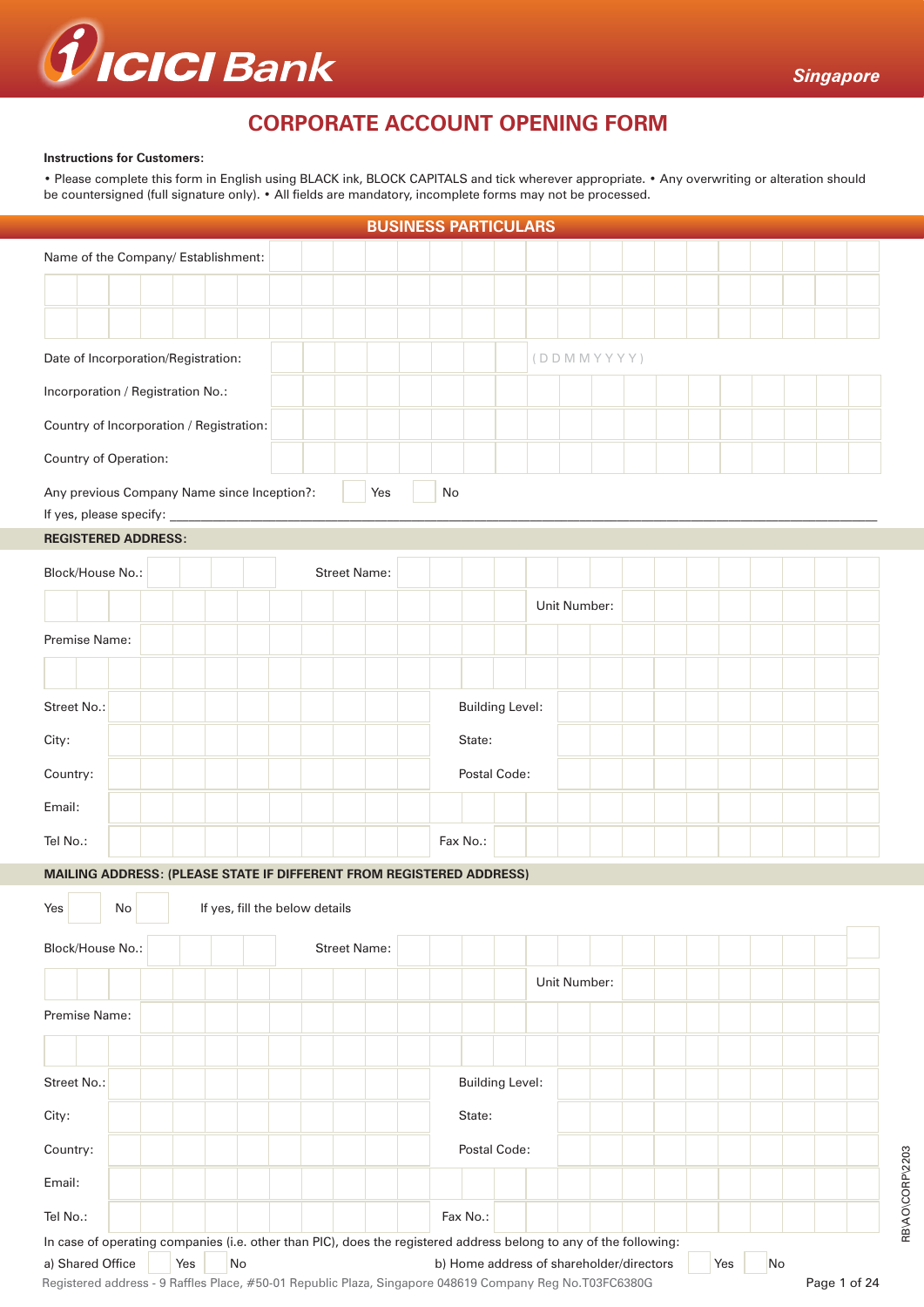

RB\AO\CORP\2203

RB\AO\CORP\2203

# **CORPORATE ACCOUNT OPENING FORM**

#### **Instructions for Customers:**

• Please complete this form in English using BLACK ink, BLOCK CAPITALS and tick wherever appropriate. • Any overwriting or alteration should be countersigned (full signature only). • All fields are mandatory, incomplete forms may not be processed.

|                                                                                                                                       |    |     |                                |  |                     | <b>BUSINESS PARTICULARS</b> |          |          |                        |                                          |  |  |     |    |              |  |
|---------------------------------------------------------------------------------------------------------------------------------------|----|-----|--------------------------------|--|---------------------|-----------------------------|----------|----------|------------------------|------------------------------------------|--|--|-----|----|--------------|--|
| Name of the Company/ Establishment:                                                                                                   |    |     |                                |  |                     |                             |          |          |                        |                                          |  |  |     |    |              |  |
|                                                                                                                                       |    |     |                                |  |                     |                             |          |          |                        |                                          |  |  |     |    |              |  |
|                                                                                                                                       |    |     |                                |  |                     |                             |          |          |                        |                                          |  |  |     |    |              |  |
|                                                                                                                                       |    |     |                                |  |                     |                             |          |          |                        |                                          |  |  |     |    |              |  |
| Date of Incorporation/Registration:                                                                                                   |    |     |                                |  |                     |                             |          |          |                        | (DDMMYYYY)                               |  |  |     |    |              |  |
| Incorporation / Registration No.:                                                                                                     |    |     |                                |  |                     |                             |          |          |                        |                                          |  |  |     |    |              |  |
| Country of Incorporation / Registration:                                                                                              |    |     |                                |  |                     |                             |          |          |                        |                                          |  |  |     |    |              |  |
| Country of Operation:                                                                                                                 |    |     |                                |  |                     |                             |          |          |                        |                                          |  |  |     |    |              |  |
|                                                                                                                                       |    |     |                                |  |                     | Yes                         | No       |          |                        |                                          |  |  |     |    |              |  |
| Any previous Company Name since Inception?:<br>If yes, please specify:                                                                |    |     |                                |  |                     |                             |          |          |                        |                                          |  |  |     |    |              |  |
| <b>REGISTERED ADDRESS:</b>                                                                                                            |    |     |                                |  |                     |                             |          |          |                        |                                          |  |  |     |    |              |  |
| Block/House No.:                                                                                                                      |    |     |                                |  | <b>Street Name:</b> |                             |          |          |                        |                                          |  |  |     |    |              |  |
|                                                                                                                                       |    |     |                                |  |                     |                             |          |          |                        |                                          |  |  |     |    |              |  |
|                                                                                                                                       |    |     |                                |  |                     |                             |          |          |                        | Unit Number:                             |  |  |     |    |              |  |
| Premise Name:                                                                                                                         |    |     |                                |  |                     |                             |          |          |                        |                                          |  |  |     |    |              |  |
|                                                                                                                                       |    |     |                                |  |                     |                             |          |          |                        |                                          |  |  |     |    |              |  |
| Street No.:                                                                                                                           |    |     |                                |  |                     |                             |          |          | <b>Building Level:</b> |                                          |  |  |     |    |              |  |
| City:                                                                                                                                 |    |     |                                |  |                     |                             |          | State:   |                        |                                          |  |  |     |    |              |  |
|                                                                                                                                       |    |     |                                |  |                     |                             |          |          |                        |                                          |  |  |     |    |              |  |
| Country:                                                                                                                              |    |     |                                |  |                     |                             |          |          | Postal Code:           |                                          |  |  |     |    |              |  |
| Email:                                                                                                                                |    |     |                                |  |                     |                             |          |          |                        |                                          |  |  |     |    |              |  |
| Tel No.:                                                                                                                              |    |     |                                |  |                     |                             | Fax No.: |          |                        |                                          |  |  |     |    |              |  |
| MAILING ADDRESS: (PLEASE STATE IF DIFFERENT FROM REGISTERED ADDRESS)                                                                  |    |     |                                |  |                     |                             |          |          |                        |                                          |  |  |     |    |              |  |
| Yes                                                                                                                                   | No |     | If yes, fill the below details |  |                     |                             |          |          |                        |                                          |  |  |     |    |              |  |
|                                                                                                                                       |    |     |                                |  |                     |                             |          |          |                        |                                          |  |  |     |    |              |  |
| Block/House No.:                                                                                                                      |    |     |                                |  | <b>Street Name:</b> |                             |          |          |                        |                                          |  |  |     |    |              |  |
|                                                                                                                                       |    |     |                                |  |                     |                             |          |          |                        | Unit Number:                             |  |  |     |    |              |  |
| Premise Name:                                                                                                                         |    |     |                                |  |                     |                             |          |          |                        |                                          |  |  |     |    |              |  |
|                                                                                                                                       |    |     |                                |  |                     |                             |          |          |                        |                                          |  |  |     |    |              |  |
|                                                                                                                                       |    |     |                                |  |                     |                             |          |          |                        |                                          |  |  |     |    |              |  |
| Street No.:                                                                                                                           |    |     |                                |  |                     |                             |          |          | <b>Building Level:</b> |                                          |  |  |     |    |              |  |
| City:                                                                                                                                 |    |     |                                |  |                     |                             |          | State:   |                        |                                          |  |  |     |    |              |  |
| Country:                                                                                                                              |    |     |                                |  |                     |                             |          |          | Postal Code:           |                                          |  |  |     |    |              |  |
| Email:                                                                                                                                |    |     |                                |  |                     |                             |          |          |                        |                                          |  |  |     |    |              |  |
|                                                                                                                                       |    |     |                                |  |                     |                             |          |          |                        |                                          |  |  |     |    |              |  |
| Tel No.:                                                                                                                              |    |     |                                |  |                     |                             |          | Fax No.: |                        |                                          |  |  |     |    |              |  |
| In case of operating companies (i.e. other than PIC), does the registered address belong to any of the following:<br>a) Shared Office |    | Yes | No                             |  |                     |                             |          |          |                        | b) Home address of shareholder/directors |  |  | Yes | No |              |  |
| Registered address - 9 Raffles Place, #50-01 Republic Plaza, Singapore 048619 Company Reg No.T03FC6380G                               |    |     |                                |  |                     |                             |          |          |                        |                                          |  |  |     |    | Page 1 of 24 |  |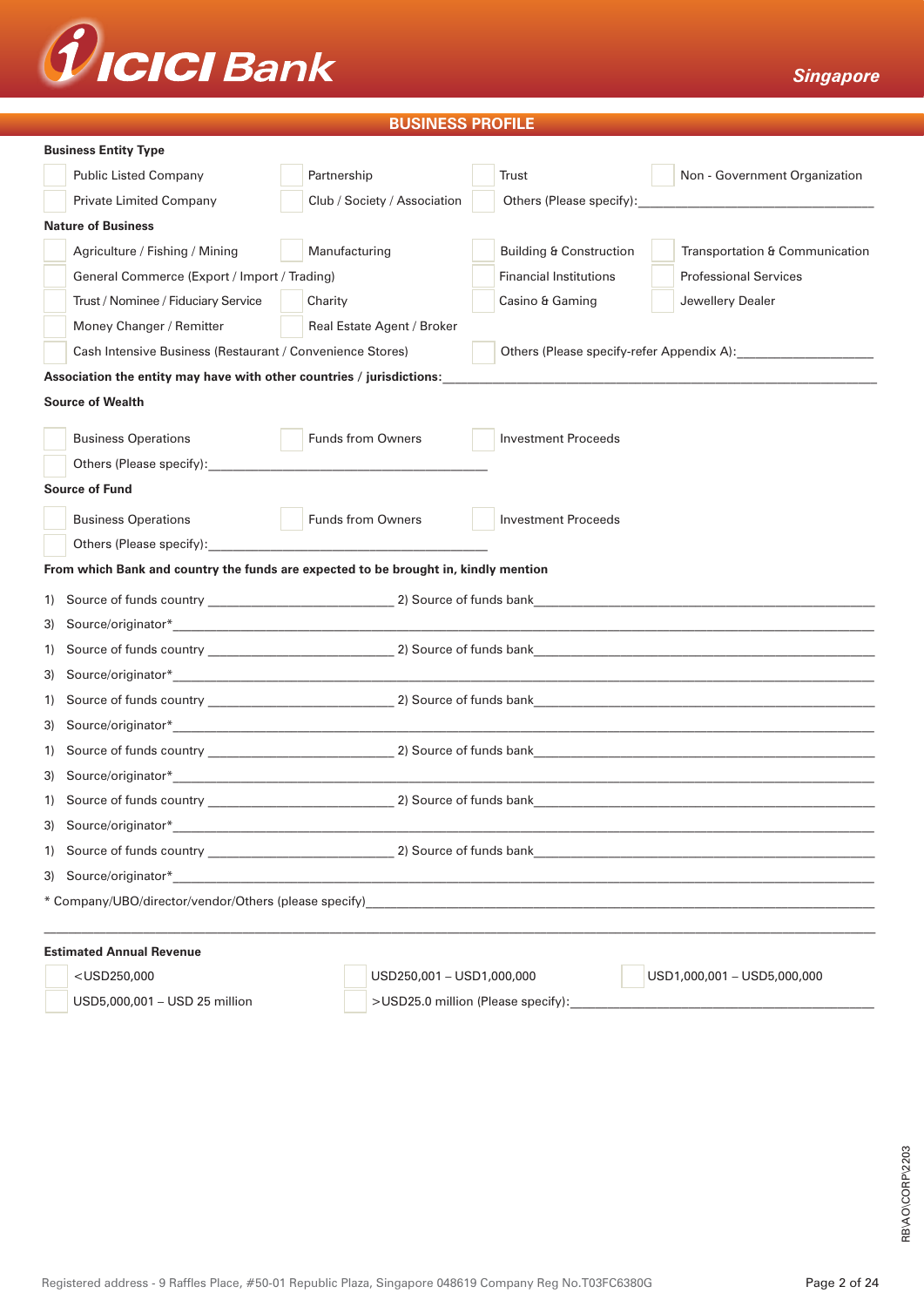

# **BUSINESS PROFILE**

|    | <b>Business Entity Type</b>                                                                                                                                                                                                   |                              |                                    |                                                      |  |  |  |
|----|-------------------------------------------------------------------------------------------------------------------------------------------------------------------------------------------------------------------------------|------------------------------|------------------------------------|------------------------------------------------------|--|--|--|
|    | <b>Public Listed Company</b>                                                                                                                                                                                                  | Partnership                  | Trust                              | Non - Government Organization                        |  |  |  |
|    | <b>Private Limited Company</b>                                                                                                                                                                                                | Club / Society / Association | Others (Please specify):           | <u> 1980 - Jan Barnett, fransk politik (d. 1980)</u> |  |  |  |
|    | <b>Nature of Business</b>                                                                                                                                                                                                     |                              |                                    |                                                      |  |  |  |
|    | Agriculture / Fishing / Mining                                                                                                                                                                                                | Manufacturing                | <b>Building &amp; Construction</b> | Transportation & Communication                       |  |  |  |
|    | General Commerce (Export / Import / Trading)                                                                                                                                                                                  |                              | <b>Financial Institutions</b>      | <b>Professional Services</b>                         |  |  |  |
|    | Trust / Nominee / Fiduciary Service                                                                                                                                                                                           | Charity                      | Casino & Gaming                    | Jewellery Dealer                                     |  |  |  |
|    | Money Changer / Remitter                                                                                                                                                                                                      | Real Estate Agent / Broker   |                                    |                                                      |  |  |  |
|    | Cash Intensive Business (Restaurant / Convenience Stores)                                                                                                                                                                     |                              |                                    | Others (Please specify-refer Appendix A):            |  |  |  |
|    | Association the entity may have with other countries / jurisdictions:                                                                                                                                                         |                              |                                    |                                                      |  |  |  |
|    | <b>Source of Wealth</b>                                                                                                                                                                                                       |                              |                                    |                                                      |  |  |  |
|    | <b>Business Operations</b>                                                                                                                                                                                                    | <b>Funds from Owners</b>     | <b>Investment Proceeds</b>         |                                                      |  |  |  |
|    | Others (Please specify): example and a set of the set of the set of the set of the set of the set of the set of the set of the set of the set of the set of the set of the set of the set of the set of the set of the set of |                              |                                    |                                                      |  |  |  |
|    | <b>Source of Fund</b>                                                                                                                                                                                                         |                              |                                    |                                                      |  |  |  |
|    | <b>Business Operations</b>                                                                                                                                                                                                    | Funds from Owners            | <b>Investment Proceeds</b>         |                                                      |  |  |  |
|    |                                                                                                                                                                                                                               |                              |                                    |                                                      |  |  |  |
|    | From which Bank and country the funds are expected to be brought in, kindly mention                                                                                                                                           |                              |                                    |                                                      |  |  |  |
| 1) |                                                                                                                                                                                                                               |                              |                                    |                                                      |  |  |  |
| 3) |                                                                                                                                                                                                                               |                              |                                    |                                                      |  |  |  |
| 1) |                                                                                                                                                                                                                               |                              |                                    |                                                      |  |  |  |
| 3) |                                                                                                                                                                                                                               |                              |                                    |                                                      |  |  |  |
| 1) |                                                                                                                                                                                                                               |                              |                                    |                                                      |  |  |  |
| 3) |                                                                                                                                                                                                                               |                              |                                    |                                                      |  |  |  |
| 1) |                                                                                                                                                                                                                               |                              |                                    |                                                      |  |  |  |
| 3) |                                                                                                                                                                                                                               |                              |                                    |                                                      |  |  |  |
| 1) |                                                                                                                                                                                                                               |                              |                                    |                                                      |  |  |  |
|    | 3) Source/originator*                                                                                                                                                                                                         |                              |                                    |                                                      |  |  |  |
|    |                                                                                                                                                                                                                               |                              |                                    |                                                      |  |  |  |
|    |                                                                                                                                                                                                                               |                              |                                    |                                                      |  |  |  |
|    |                                                                                                                                                                                                                               |                              |                                    |                                                      |  |  |  |
|    |                                                                                                                                                                                                                               |                              |                                    |                                                      |  |  |  |
|    | <b>Estimated Annual Revenue</b>                                                                                                                                                                                               |                              |                                    |                                                      |  |  |  |

USD5,000,001 – USD 25 million  $\vert$  >USD25.0 million (Please specify):

<USD250,000 USD250,001 – USD1,000,000 USD1,000,001 – USD5,000,000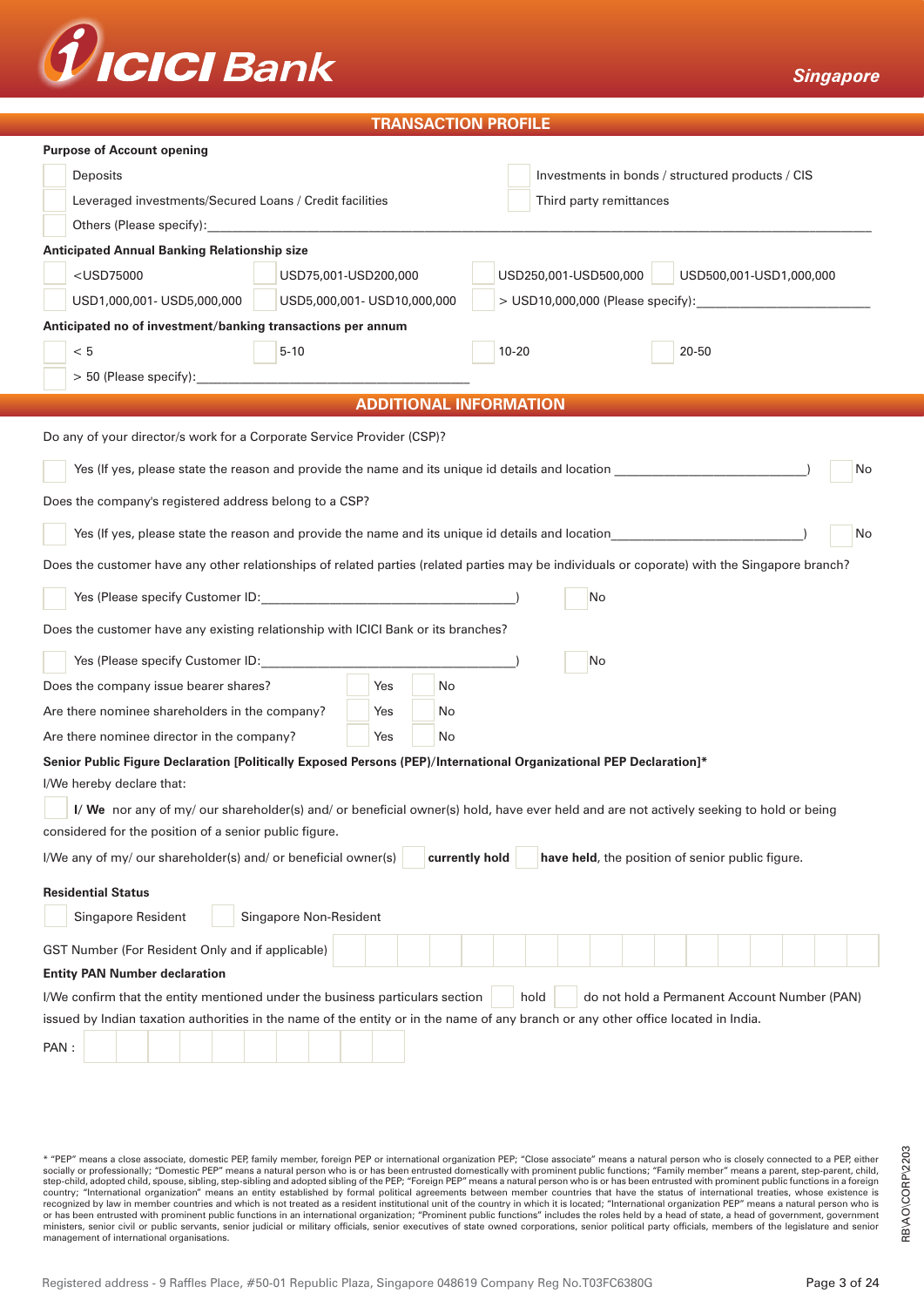

### **TRANSACTION PROFILE**

| <b>Purpose of Account opening</b>                                                                                                             |                                                  |  |  |  |  |  |  |  |
|-----------------------------------------------------------------------------------------------------------------------------------------------|--------------------------------------------------|--|--|--|--|--|--|--|
| Deposits                                                                                                                                      | Investments in bonds / structured products / CIS |  |  |  |  |  |  |  |
| Leveraged investments/Secured Loans / Credit facilities                                                                                       | Third party remittances                          |  |  |  |  |  |  |  |
|                                                                                                                                               |                                                  |  |  |  |  |  |  |  |
| <b>Anticipated Annual Banking Relationship size</b>                                                                                           |                                                  |  |  |  |  |  |  |  |
| <usd75000<br>USD75,001-USD200,000</usd75000<br>                                                                                               | USD250,001-USD500,000<br>USD500,001-USD1,000,000 |  |  |  |  |  |  |  |
| USD5,000,001- USD10,000,000<br>USD1,000,001- USD5,000,000                                                                                     | > USD10,000,000 (Please specify):                |  |  |  |  |  |  |  |
| Anticipated no of investment/banking transactions per annum                                                                                   |                                                  |  |  |  |  |  |  |  |
| < 5<br>$5 - 10$                                                                                                                               | $10 - 20$<br>20-50                               |  |  |  |  |  |  |  |
|                                                                                                                                               |                                                  |  |  |  |  |  |  |  |
| <b>ADDITIONAL INFORMATION</b>                                                                                                                 |                                                  |  |  |  |  |  |  |  |
| Do any of your director/s work for a Corporate Service Provider (CSP)?                                                                        |                                                  |  |  |  |  |  |  |  |
| Yes (If yes, please state the reason and provide the name and its unique id details and location ________________                             | No                                               |  |  |  |  |  |  |  |
| Does the company's registered address belong to a CSP?                                                                                        |                                                  |  |  |  |  |  |  |  |
| Yes (If yes, please state the reason and provide the name and its unique id details and location                                              | No                                               |  |  |  |  |  |  |  |
| Does the customer have any other relationships of related parties (related parties may be individuals or coporate) with the Singapore branch? |                                                  |  |  |  |  |  |  |  |
|                                                                                                                                               | No                                               |  |  |  |  |  |  |  |
| Does the customer have any existing relationship with ICICI Bank or its branches?                                                             |                                                  |  |  |  |  |  |  |  |
| Yes (Please specify Customer ID: ___________                                                                                                  | No                                               |  |  |  |  |  |  |  |
| Does the company issue bearer shares?<br>Yes<br>No                                                                                            |                                                  |  |  |  |  |  |  |  |
| Are there nominee shareholders in the company?<br>Yes<br>No.                                                                                  |                                                  |  |  |  |  |  |  |  |
| Are there nominee director in the company?<br>Yes<br>No                                                                                       |                                                  |  |  |  |  |  |  |  |
| Senior Public Figure Declaration [Politically Exposed Persons (PEP)/International Organizational PEP Declaration]*                            |                                                  |  |  |  |  |  |  |  |
| I/We hereby declare that:                                                                                                                     |                                                  |  |  |  |  |  |  |  |
| I/ We nor any of my/ our shareholder(s) and/ or beneficial owner(s) hold, have ever held and are not actively seeking to hold or being        |                                                  |  |  |  |  |  |  |  |
| considered for the position of a senior public figure.                                                                                        |                                                  |  |  |  |  |  |  |  |
| currently hold<br>I/We any of my/ our shareholder(s) and/ or beneficial owner(s)                                                              | have held, the position of senior public figure. |  |  |  |  |  |  |  |
| <b>Residential Status</b>                                                                                                                     |                                                  |  |  |  |  |  |  |  |
| Singapore Resident<br>Singapore Non-Resident                                                                                                  |                                                  |  |  |  |  |  |  |  |
| GST Number (For Resident Only and if applicable)                                                                                              |                                                  |  |  |  |  |  |  |  |
| <b>Entity PAN Number declaration</b>                                                                                                          |                                                  |  |  |  |  |  |  |  |
| do not hold a Permanent Account Number (PAN)<br>I/We confirm that the entity mentioned under the business particulars section<br>hold         |                                                  |  |  |  |  |  |  |  |
| issued by Indian taxation authorities in the name of the entity or in the name of any branch or any other office located in India.            |                                                  |  |  |  |  |  |  |  |
| PAN:                                                                                                                                          |                                                  |  |  |  |  |  |  |  |
|                                                                                                                                               |                                                  |  |  |  |  |  |  |  |

\* "PEP" means a close associate, domestic PEP, family member, foreign PEP or international organization PEP; "Close associate" means a natural person who is closely connected to a PEP, either socially or professionally; "Domestic PEP" means a natural person who is or has been entrusted domestically with prominent public functions; "Family member" means a parent, step-parent, child,<br>step-child, adopted child, sp country; "International organization" means an entity established by formal political agreements between member countries that have the status of international treaties, whose existence is<br>recognized by law in member count or has been entrusted with prominent public functions in an international organization; "Prominent public functions" includes the roles held by a head of state, a head of government, government ministers, senior civil or public servants, senior judicial or military officials, senior executives of state owned corporations, senior political party officials, members of the legislature and senior<br>management of intern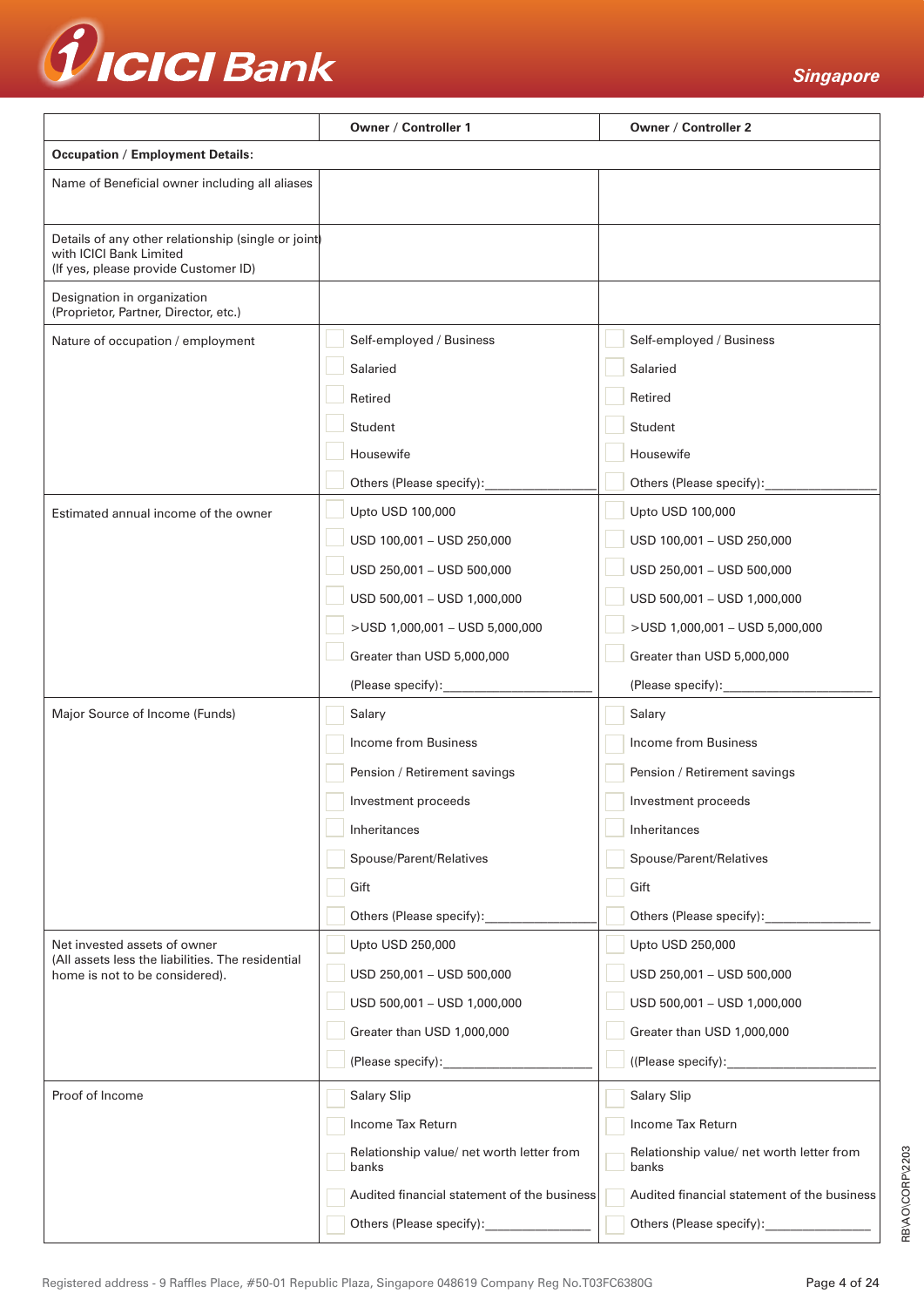

|                                                                                                                        | Owner / Controller 1                               | <b>Owner / Controller 2</b>                        |  |  |  |
|------------------------------------------------------------------------------------------------------------------------|----------------------------------------------------|----------------------------------------------------|--|--|--|
| <b>Occupation / Employment Details:</b>                                                                                |                                                    |                                                    |  |  |  |
| Name of Beneficial owner including all aliases                                                                         |                                                    |                                                    |  |  |  |
| Details of any other relationship (single or joint)<br>with ICICI Bank Limited<br>(If yes, please provide Customer ID) |                                                    |                                                    |  |  |  |
| Designation in organization<br>(Proprietor, Partner, Director, etc.)                                                   |                                                    |                                                    |  |  |  |
| Nature of occupation / employment                                                                                      | Self-employed / Business                           | Self-employed / Business                           |  |  |  |
|                                                                                                                        | Salaried                                           | Salaried                                           |  |  |  |
|                                                                                                                        | Retired                                            | Retired                                            |  |  |  |
|                                                                                                                        | Student                                            | Student                                            |  |  |  |
|                                                                                                                        | Housewife                                          | Housewife                                          |  |  |  |
|                                                                                                                        | Others (Please specify):                           | Others (Please specify):____                       |  |  |  |
| Estimated annual income of the owner                                                                                   | Upto USD 100,000                                   | Upto USD 100,000                                   |  |  |  |
|                                                                                                                        | USD 100,001 - USD 250,000                          | USD 100,001 - USD 250,000                          |  |  |  |
|                                                                                                                        | USD 250,001 - USD 500,000                          | USD 250,001 - USD 500,000                          |  |  |  |
|                                                                                                                        | USD 500,001 - USD 1,000,000                        | USD 500,001 - USD 1,000,000                        |  |  |  |
|                                                                                                                        | >USD 1,000,001 - USD 5,000,000                     | >USD 1,000,001 - USD 5,000,000                     |  |  |  |
|                                                                                                                        | Greater than USD 5,000,000                         | Greater than USD 5,000,000                         |  |  |  |
|                                                                                                                        | (Please specify):______________                    | (Please specify):_____________                     |  |  |  |
| Major Source of Income (Funds)                                                                                         | Salary                                             | Salary                                             |  |  |  |
|                                                                                                                        | Income from Business                               | Income from Business                               |  |  |  |
|                                                                                                                        | Pension / Retirement savings                       | Pension / Retirement savings                       |  |  |  |
|                                                                                                                        | Investment proceeds                                | Investment proceeds                                |  |  |  |
|                                                                                                                        | Inheritances                                       | Inheritances                                       |  |  |  |
|                                                                                                                        | Spouse/Parent/Relatives                            | Spouse/Parent/Relatives                            |  |  |  |
|                                                                                                                        | Gift                                               | Gift                                               |  |  |  |
|                                                                                                                        | Others (Please specify):                           | Others (Please specify):                           |  |  |  |
| Net invested assets of owner                                                                                           | Upto USD 250,000                                   | Upto USD 250,000                                   |  |  |  |
| (All assets less the liabilities. The residential<br>home is not to be considered).                                    | USD 250,001 - USD 500,000                          | USD 250,001 - USD 500,000                          |  |  |  |
|                                                                                                                        | USD 500,001 - USD 1,000,000                        | USD 500,001 - USD 1,000,000                        |  |  |  |
|                                                                                                                        | Greater than USD 1,000,000                         | Greater than USD 1,000,000                         |  |  |  |
|                                                                                                                        |                                                    | ((Please specify): ______________                  |  |  |  |
| Proof of Income                                                                                                        | <b>Salary Slip</b>                                 | Salary Slip                                        |  |  |  |
|                                                                                                                        | Income Tax Return                                  | Income Tax Return                                  |  |  |  |
|                                                                                                                        | Relationship value/ net worth letter from<br>banks | Relationship value/ net worth letter from<br>banks |  |  |  |
|                                                                                                                        | Audited financial statement of the business        | Audited financial statement of the business        |  |  |  |
|                                                                                                                        | Others (Please specify):                           | Others (Please specify):                           |  |  |  |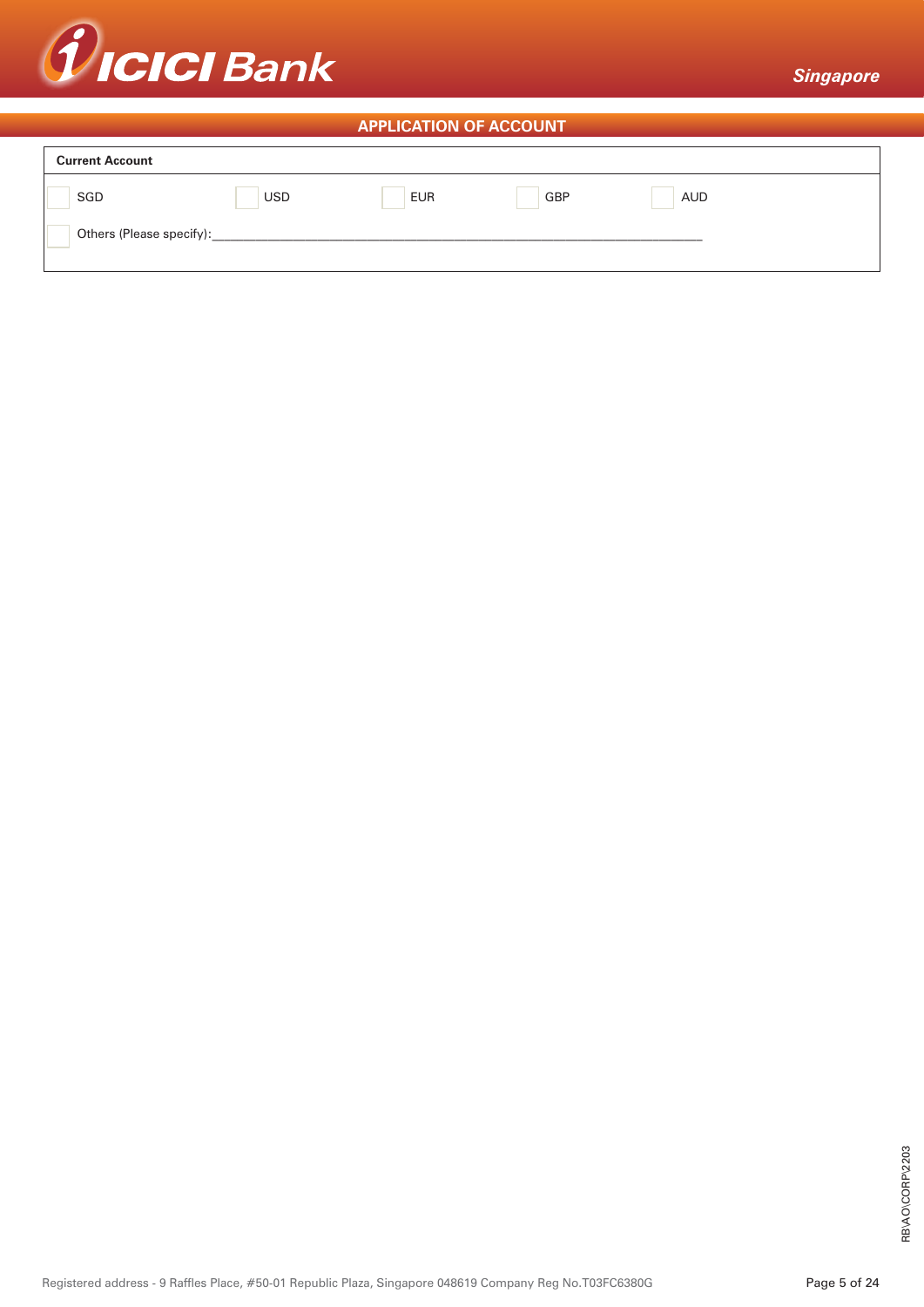

# **APPLICATION OF ACCOUNT**

| <b>Current Account</b>   |            |            |            |            |  |  |  |
|--------------------------|------------|------------|------------|------------|--|--|--|
| SGD                      | <b>USD</b> | <b>EUR</b> | <b>GBP</b> | <b>AUD</b> |  |  |  |
| Others (Please specify): |            |            |            |            |  |  |  |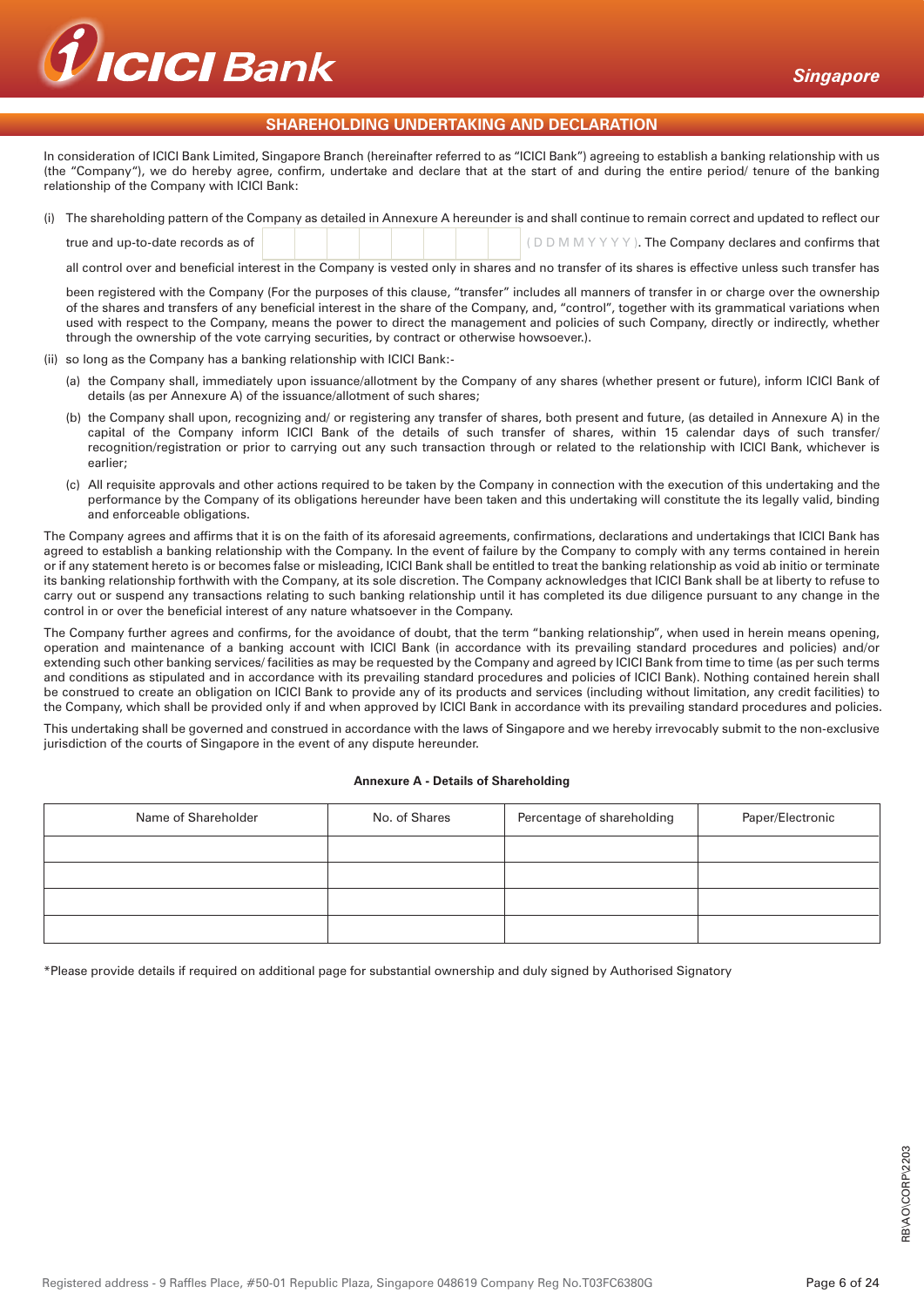

# **SHAREHOLDING UNDERTAKING AND DECLARATION**

In consideration of ICICI Bank Limited, Singapore Branch (hereinafter referred to as "ICICI Bank") agreeing to establish a banking relationship with us (the "Company"), we do hereby agree, confirm, undertake and declare that at the start of and during the entire period/ tenure of the banking relationship of the Company with ICICI Bank:

|                                   |  |  |  | (i) The shareholding pattern of the Company as detailed in Annexure A hereunder is and shall continue to remain correct and updated to reflect our |
|-----------------------------------|--|--|--|----------------------------------------------------------------------------------------------------------------------------------------------------|
| true and up-to-date records as of |  |  |  | $ $ (DDMMYYYY). The Company declares and confirms that                                                                                             |

all control over and beneficial interest in the Company is vested only in shares and no transfer of its shares is effective unless such transfer has

been registered with the Company (For the purposes of this clause, "transfer" includes all manners of transfer in or charge over the ownership of the shares and transfers of any beneficial interest in the share of the Company, and, "control", together with its grammatical variations when used with respect to the Company, means the power to direct the management and policies of such Company, directly or indirectly, whether through the ownership of the vote carrying securities, by contract or otherwise howsoever.).

- (ii) so long as the Company has a banking relationship with ICICI Bank:-
	- (a) the Company shall, immediately upon issuance/allotment by the Company of any shares (whether present or future), inform ICICI Bank of details (as per Annexure A) of the issuance/allotment of such shares;
	- (b) the Company shall upon, recognizing and/ or registering any transfer of shares, both present and future, (as detailed in Annexure A) in the capital of the Company inform ICICI Bank of the details of such transfer of shares, within 15 calendar days of such transfer/ recognition/registration or prior to carrying out any such transaction through or related to the relationship with ICICI Bank, whichever is earlier;
	- (c) All requisite approvals and other actions required to be taken by the Company in connection with the execution of this undertaking and the performance by the Company of its obligations hereunder have been taken and this undertaking will constitute the its legally valid, binding and enforceable obligations.

The Company agrees and affirms that it is on the faith of its aforesaid agreements, confirmations, declarations and undertakings that ICICI Bank has agreed to establish a banking relationship with the Company. In the event of failure by the Company to comply with any terms contained in herein or if any statement hereto is or becomes false or misleading, ICICI Bank shall be entitled to treat the banking relationship as void ab initio or terminate its banking relationship forthwith with the Company, at its sole discretion. The Company acknowledges that ICICI Bank shall be at liberty to refuse to carry out or suspend any transactions relating to such banking relationship until it has completed its due diligence pursuant to any change in the control in or over the beneficial interest of any nature whatsoever in the Company.

The Company further agrees and confirms, for the avoidance of doubt, that the term "banking relationship", when used in herein means opening, operation and maintenance of a banking account with ICICI Bank (in accordance with its prevailing standard procedures and policies) and/or extending such other banking services/ facilities as may be requested by the Company and agreed by ICICI Bank from time to time (as per such terms and conditions as stipulated and in accordance with its prevailing standard procedures and policies of ICICI Bank). Nothing contained herein shall be construed to create an obligation on ICICI Bank to provide any of its products and services (including without limitation, any credit facilities) to the Company, which shall be provided only if and when approved by ICICI Bank in accordance with its prevailing standard procedures and policies.

This undertaking shall be governed and construed in accordance with the laws of Singapore and we hereby irrevocably submit to the non-exclusive jurisdiction of the courts of Singapore in the event of any dispute hereunder.

#### **Annexure A - Details of Shareholding**

| Name of Shareholder | No. of Shares | Percentage of shareholding | Paper/Electronic |
|---------------------|---------------|----------------------------|------------------|
|                     |               |                            |                  |
|                     |               |                            |                  |
|                     |               |                            |                  |
|                     |               |                            |                  |

\*Please provide details if required on additional page for substantial ownership and duly signed by Authorised Signatory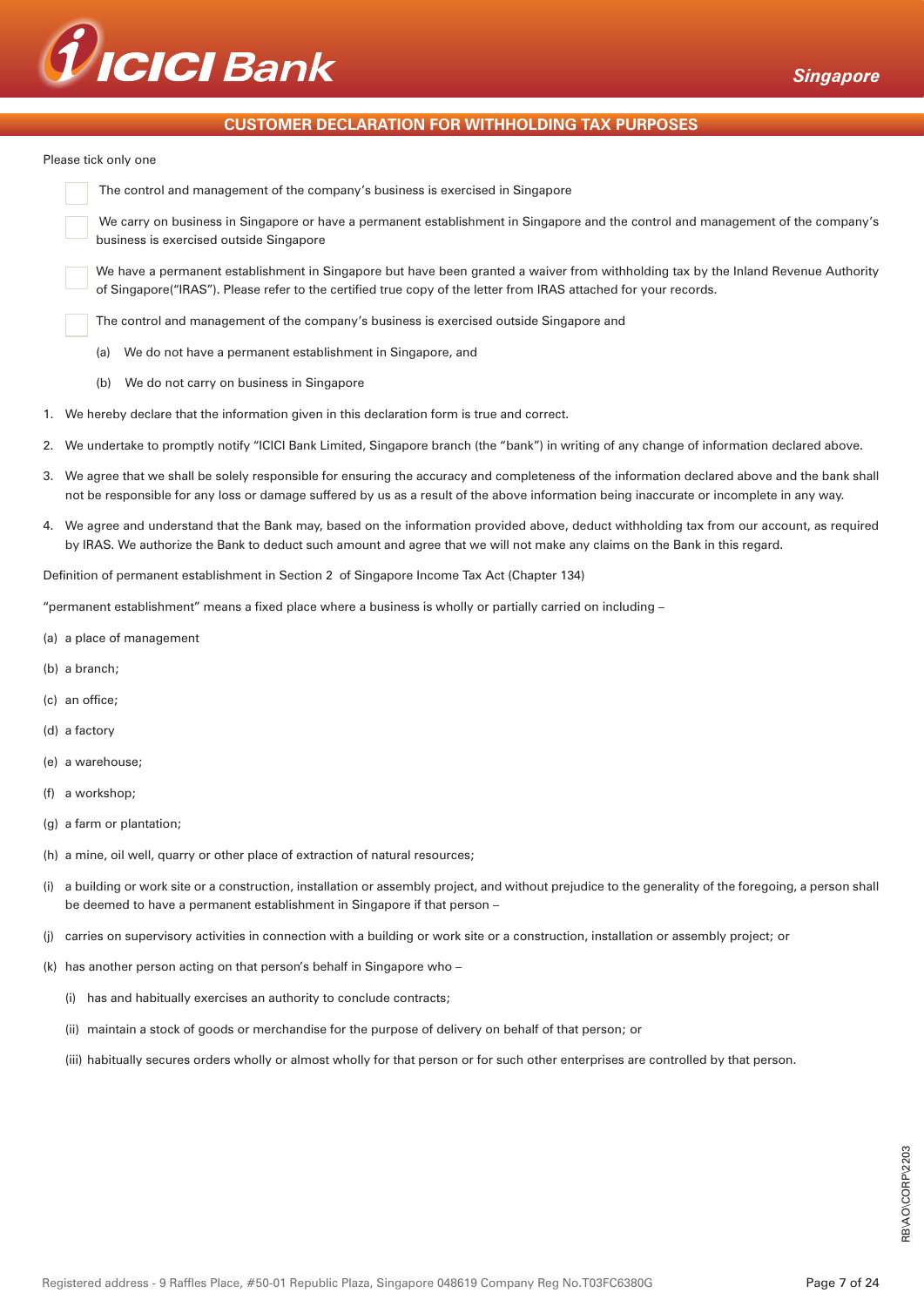

# **CUSTOMER DECLARATION FOR WITHHOLDING TAX PURPOSES**

Please tick only one

| The control and management of the company's business is exercised in Singapore |
|--------------------------------------------------------------------------------|
|                                                                                |

 We carry on business in Singapore or have a permanent establishment in Singapore and the control and management of the company's business is exercised outside Singapore

We have a permanent establishment in Singapore but have been granted a waiver from withholding tax by the Inland Revenue Authority of Singapore("IRAS"). Please refer to the certified true copy of the letter from IRAS attached for your records.

The control and management of the company's business is exercised outside Singapore and

- (a) We do not have a permanent establishment in Singapore, and
- (b) We do not carry on business in Singapore
- 1. We hereby declare that the information given in this declaration form is true and correct.
- 2. We undertake to promptly notify "ICICI Bank Limited, Singapore branch (the "bank") in writing of any change of information declared above.
- 3. We agree that we shall be solely responsible for ensuring the accuracy and completeness of the information declared above and the bank shall not be responsible for any loss or damage suffered by us as a result of the above information being inaccurate or incomplete in any way.
- 4. We agree and understand that the Bank may, based on the information provided above, deduct withholding tax from our account, as required by IRAS. We authorize the Bank to deduct such amount and agree that we will not make any claims on the Bank in this regard.

Definition of permanent establishment in Section 2 of Singapore Income Tax Act (Chapter 134)

"permanent establishment" means a fixed place where a business is wholly or partially carried on including –

- (a) a place of management
- (b) a branch;
- (c) an office;
- (d) a factory
- (e) a warehouse;
- (f) a workshop;
- (g) a farm or plantation;
- (h) a mine, oil well, quarry or other place of extraction of natural resources;
- (i) a building or work site or a construction, installation or assembly project, and without prejudice to the generality of the foregoing, a person shall be deemed to have a permanent establishment in Singapore if that person –
- (j) carries on supervisory activities in connection with a building or work site or a construction, installation or assembly project; or
- (k) has another person acting on that person's behalf in Singapore who
	- (i) has and habitually exercises an authority to conclude contracts;
	- (ii) maintain a stock of goods or merchandise for the purpose of delivery on behalf of that person; or
	- (iii) habitually secures orders wholly or almost wholly for that person or for such other enterprises are controlled by that person.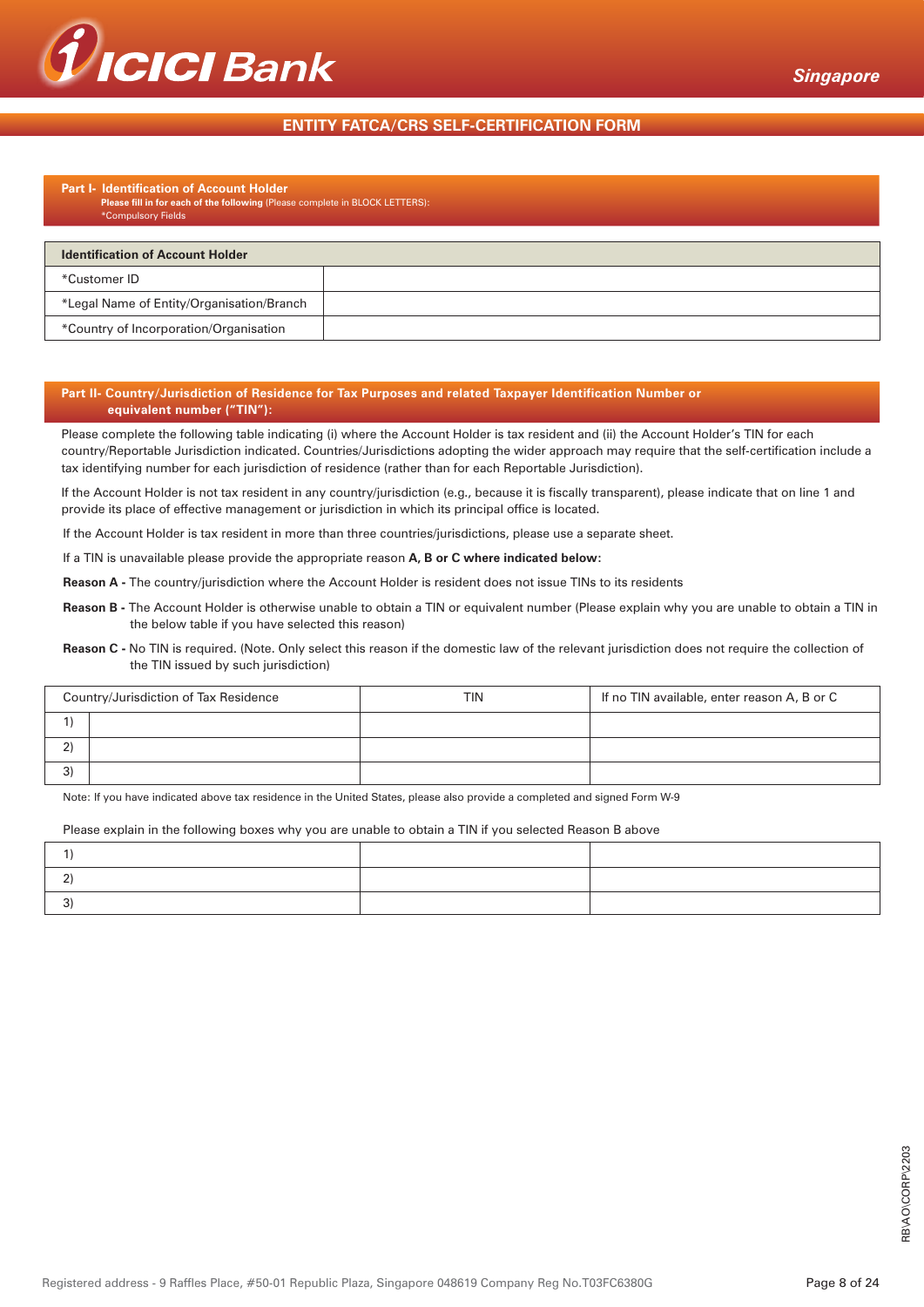

# **ENTITY FATCA/CRS SELF-CERTIFICATION FORM**

#### **Part I- Identification of Account Holder Please fill in for each of the following** (Please complete in BLOCK LETTERS): \*Compulsory Fields

| <b>Identification of Account Holder</b>   |  |  |  |  |  |
|-------------------------------------------|--|--|--|--|--|
| *Customer ID                              |  |  |  |  |  |
| *Legal Name of Entity/Organisation/Branch |  |  |  |  |  |
| *Country of Incorporation/Organisation    |  |  |  |  |  |

#### **Part II- Country/Jurisdiction of Residence for Tax Purposes and related Taxpayer Identification Number or equivalent number ("TIN"):**

Please complete the following table indicating (i) where the Account Holder is tax resident and (ii) the Account Holder's TIN for each country/Reportable Jurisdiction indicated. Countries/Jurisdictions adopting the wider approach may require that the self-certification include a tax identifying number for each jurisdiction of residence (rather than for each Reportable Jurisdiction).

If the Account Holder is not tax resident in any country/jurisdiction (e.g., because it is fiscally transparent), please indicate that on line 1 and provide its place of effective management or jurisdiction in which its principal office is located.

If the Account Holder is tax resident in more than three countries/jurisdictions, please use a separate sheet.

If a TIN is unavailable please provide the appropriate reason **A, B or C where indicated below:**

**Reason A -** The country/jurisdiction where the Account Holder is resident does not issue TINs to its residents

**Reason B -** The Account Holder is otherwise unable to obtain a TIN or equivalent number (Please explain why you are unable to obtain a TIN in the below table if you have selected this reason)

**Reason C -** No TIN is required. (Note. Only select this reason if the domestic law of the relevant jurisdiction does not require the collection of the TIN issued by such jurisdiction)

|   | Country/Jurisdiction of Tax Residence | TIN | If no TIN available, enter reason A, B or C |
|---|---------------------------------------|-----|---------------------------------------------|
|   |                                       |     |                                             |
|   |                                       |     |                                             |
| ົ |                                       |     |                                             |

Note: If you have indicated above tax residence in the United States, please also provide a completed and signed Form W-9

#### Please explain in the following boxes why you are unable to obtain a TIN if you selected Reason B above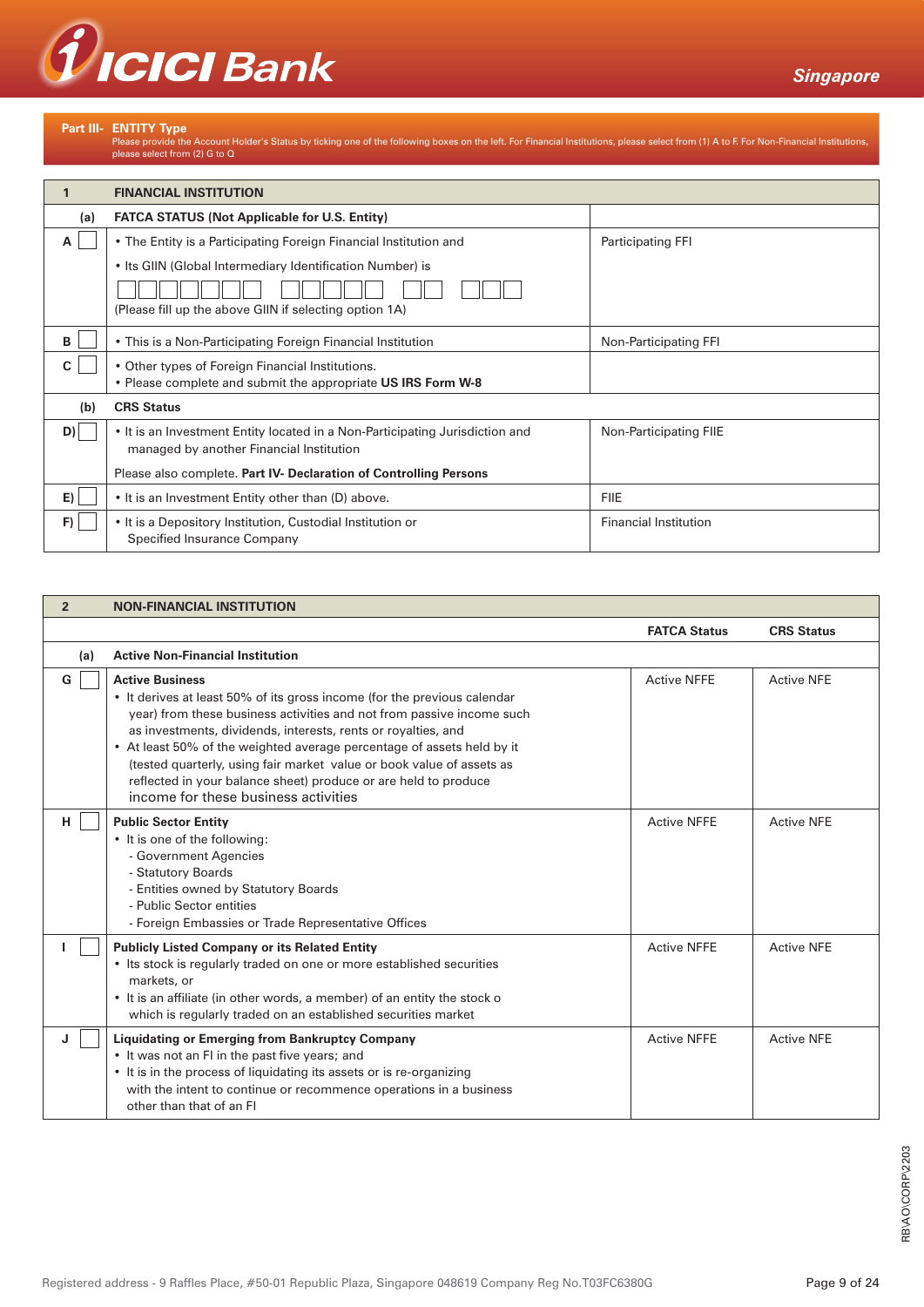

Part III- ENTITY Type<br>Please provide the Account Holder's Status by ticking one of the following boxes on the left. For Financial Institutions, please select from (1) A to F. For Non-Financial Institutions,<br>please select f

|     | <b>FINANCIAL INSTITUTION</b>                                                                                             |                              |
|-----|--------------------------------------------------------------------------------------------------------------------------|------------------------------|
| (a) | <b>FATCA STATUS (Not Applicable for U.S. Entity)</b>                                                                     |                              |
| A   | • The Entity is a Participating Foreign Financial Institution and                                                        | Participating FFI            |
|     | • Its GIIN (Global Intermediary Identification Number) is                                                                |                              |
|     |                                                                                                                          |                              |
|     | (Please fill up the above GIIN if selecting option 1A)                                                                   |                              |
| в   | • This is a Non-Participating Foreign Financial Institution                                                              | Non-Participating FFI        |
| C   | • Other types of Foreign Financial Institutions.                                                                         |                              |
|     | • Please complete and submit the appropriate US IRS Form W-8                                                             |                              |
| (b) | <b>CRS Status</b>                                                                                                        |                              |
| D)  | • It is an Investment Entity located in a Non-Participating Jurisdiction and<br>managed by another Financial Institution | Non-Participating FIIE       |
|     | Please also complete. Part IV- Declaration of Controlling Persons                                                        |                              |
| E)  | • It is an Investment Entity other than (D) above.                                                                       | <b>FIIE</b>                  |
| F)  | • It is a Depository Institution, Custodial Institution or<br>Specified Insurance Company                                | <b>Financial Institution</b> |

| $\overline{2}$ | <b>NON-FINANCIAL INSTITUTION</b>                                                                                                                                                                                                                                                                                                                                                                                                                                                                           |                     |                   |  |
|----------------|------------------------------------------------------------------------------------------------------------------------------------------------------------------------------------------------------------------------------------------------------------------------------------------------------------------------------------------------------------------------------------------------------------------------------------------------------------------------------------------------------------|---------------------|-------------------|--|
|                |                                                                                                                                                                                                                                                                                                                                                                                                                                                                                                            | <b>FATCA Status</b> | <b>CRS Status</b> |  |
| (a)            | <b>Active Non-Financial Institution</b>                                                                                                                                                                                                                                                                                                                                                                                                                                                                    |                     |                   |  |
| G              | <b>Active Business</b><br>• It derives at least 50% of its gross income (for the previous calendar<br>year) from these business activities and not from passive income such<br>as investments, dividends, interests, rents or royalties, and<br>• At least 50% of the weighted average percentage of assets held by it<br>(tested quarterly, using fair market value or book value of assets as<br>reflected in your balance sheet) produce or are held to produce<br>income for these business activities | <b>Active NFFE</b>  | <b>Active NFE</b> |  |
| H.             | <b>Public Sector Entity</b><br>• It is one of the following:<br>- Government Agencies<br>- Statutory Boards<br>- Entities owned by Statutory Boards<br>- Public Sector entities<br>- Foreign Embassies or Trade Representative Offices                                                                                                                                                                                                                                                                     | <b>Active NFFE</b>  | <b>Active NFF</b> |  |
|                | <b>Publicly Listed Company or its Related Entity</b><br>• Its stock is regularly traded on one or more established securities<br>markets, or<br>• It is an affiliate (in other words, a member) of an entity the stock o<br>which is regularly traded on an established securities market                                                                                                                                                                                                                  | <b>Active NFFE</b>  | <b>Active NFE</b> |  |
| J              | <b>Liquidating or Emerging from Bankruptcy Company</b><br>• It was not an FI in the past five years; and<br>• It is in the process of liquidating its assets or is re-organizing<br>with the intent to continue or recommence operations in a business<br>other than that of an FI                                                                                                                                                                                                                         | <b>Active NFFE</b>  | <b>Active NFE</b> |  |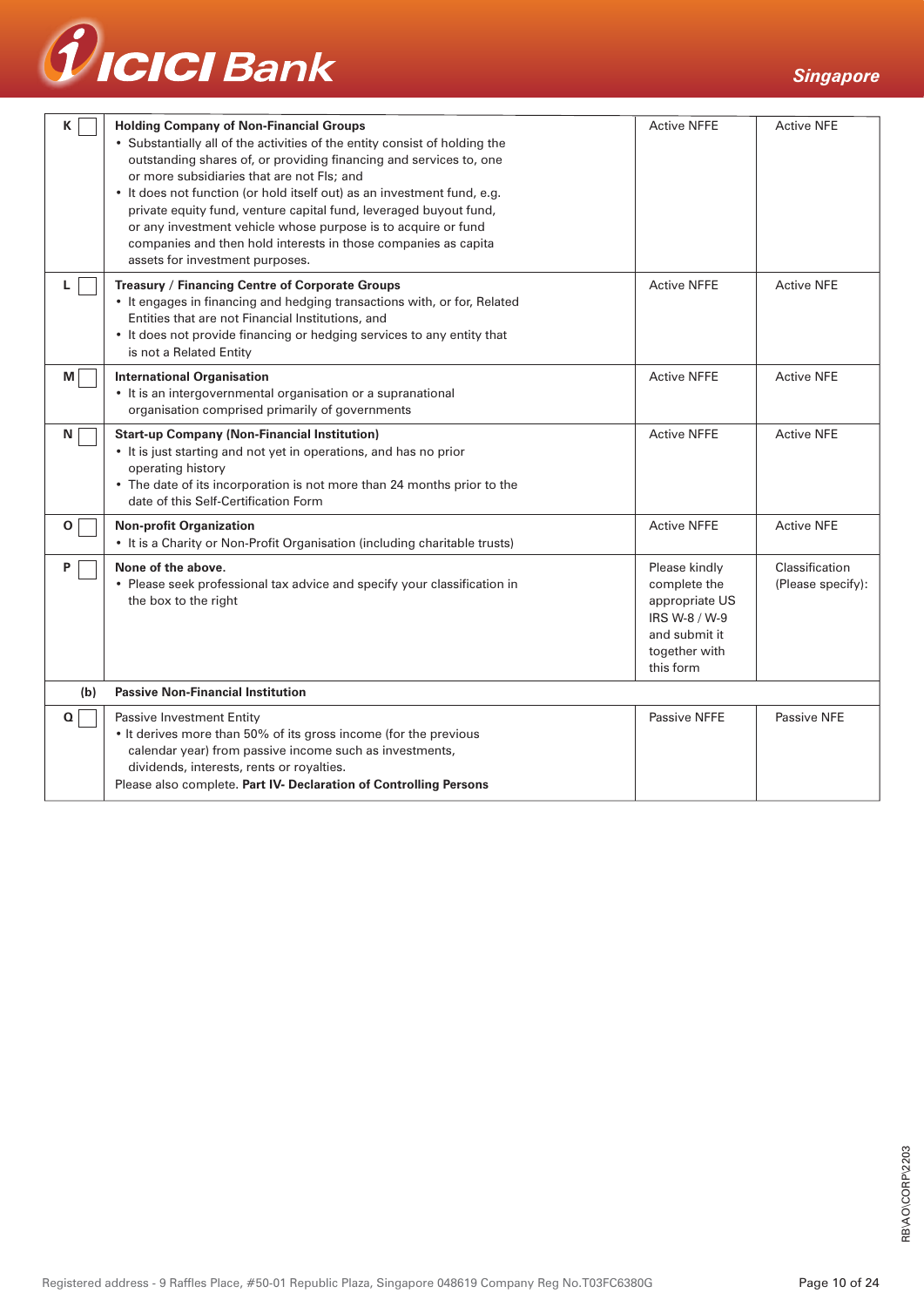

| K           | <b>Holding Company of Non-Financial Groups</b><br>• Substantially all of the activities of the entity consist of holding the<br>outstanding shares of, or providing financing and services to, one<br>or more subsidiaries that are not Fls; and<br>• It does not function (or hold itself out) as an investment fund, e.g.<br>private equity fund, venture capital fund, leveraged buyout fund,<br>or any investment vehicle whose purpose is to acquire or fund<br>companies and then hold interests in those companies as capita<br>assets for investment purposes. | <b>Active NFFE</b>                                                                                              | <b>Active NFE</b>                   |
|-------------|------------------------------------------------------------------------------------------------------------------------------------------------------------------------------------------------------------------------------------------------------------------------------------------------------------------------------------------------------------------------------------------------------------------------------------------------------------------------------------------------------------------------------------------------------------------------|-----------------------------------------------------------------------------------------------------------------|-------------------------------------|
| L.          | Treasury / Financing Centre of Corporate Groups<br>• It engages in financing and hedging transactions with, or for, Related<br>Entities that are not Financial Institutions, and<br>• It does not provide financing or hedging services to any entity that<br>is not a Related Entity                                                                                                                                                                                                                                                                                  | <b>Active NFFE</b>                                                                                              | <b>Active NFE</b>                   |
| M           | <b>International Organisation</b><br>• It is an intergovernmental organisation or a supranational<br>organisation comprised primarily of governments                                                                                                                                                                                                                                                                                                                                                                                                                   |                                                                                                                 | <b>Active NFE</b>                   |
| N           | <b>Start-up Company (Non-Financial Institution)</b><br>• It is just starting and not yet in operations, and has no prior<br>operating history<br>• The date of its incorporation is not more than 24 months prior to the<br>date of this Self-Certification Form                                                                                                                                                                                                                                                                                                       | <b>Active NFFE</b>                                                                                              | <b>Active NFE</b>                   |
| 0           | <b>Non-profit Organization</b><br>• It is a Charity or Non-Profit Organisation (including charitable trusts)                                                                                                                                                                                                                                                                                                                                                                                                                                                           | <b>Active NFFE</b>                                                                                              | <b>Active NFE</b>                   |
| P           | None of the above.<br>• Please seek professional tax advice and specify your classification in<br>the box to the right                                                                                                                                                                                                                                                                                                                                                                                                                                                 | Please kindly<br>complete the<br>appropriate US<br>IRS W-8 / W-9<br>and submit it<br>together with<br>this form | Classification<br>(Please specify): |
| (b)         | <b>Passive Non-Financial Institution</b>                                                                                                                                                                                                                                                                                                                                                                                                                                                                                                                               |                                                                                                                 |                                     |
| $\mathbf o$ | Passive Investment Entity<br>• It derives more than 50% of its gross income (for the previous<br>calendar year) from passive income such as investments,<br>dividends, interests, rents or royalties.<br>Please also complete. Part IV- Declaration of Controlling Persons                                                                                                                                                                                                                                                                                             | Passive NFFE                                                                                                    | Passive NFE                         |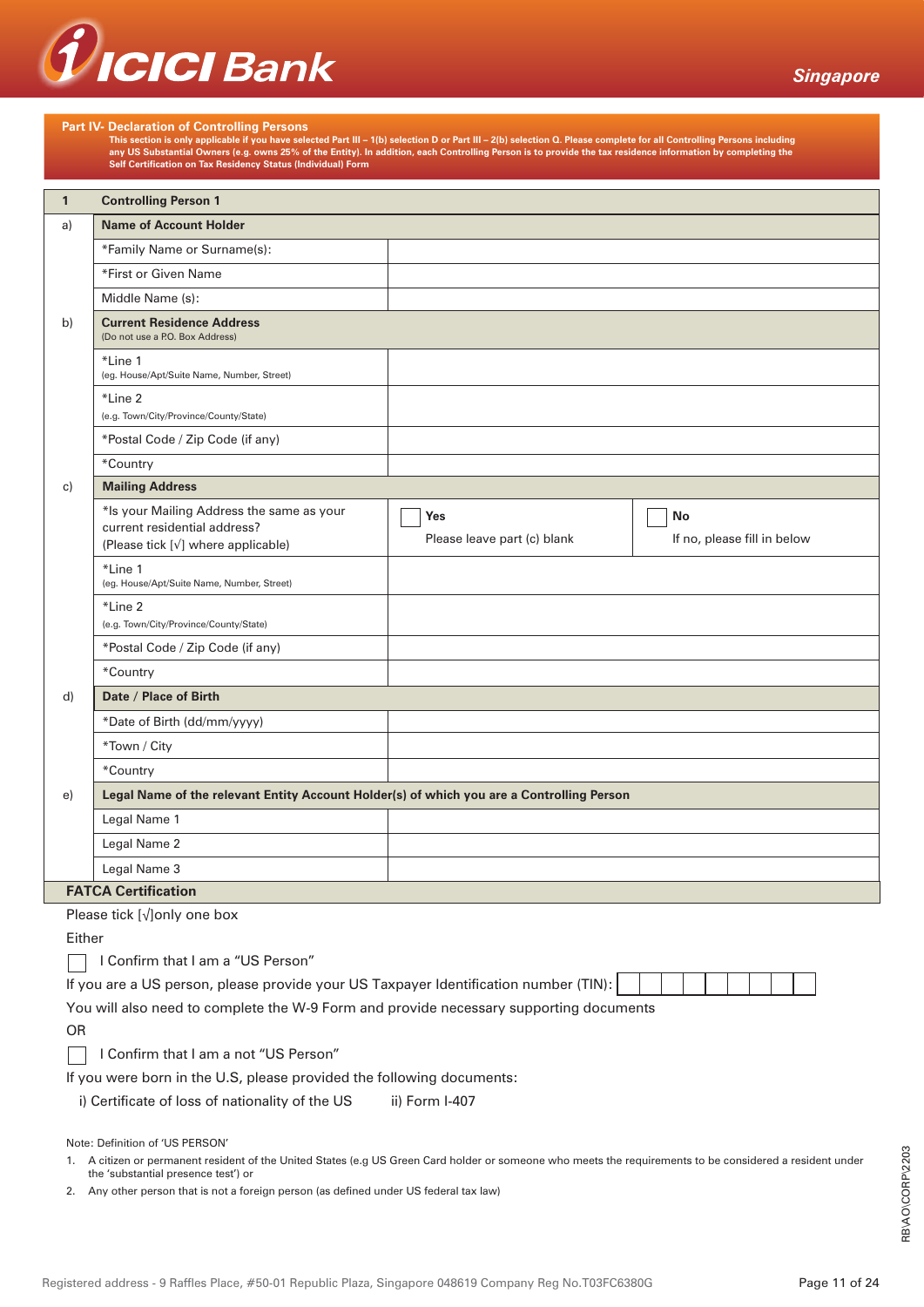

|                                                                                                                                                                                                                                                                                                                               | <b>Part IV- Declaration of Controlling Persons</b>                                                                                                                                                                                                                                                                                                                                                    |                                    |                                   |  |  |
|-------------------------------------------------------------------------------------------------------------------------------------------------------------------------------------------------------------------------------------------------------------------------------------------------------------------------------|-------------------------------------------------------------------------------------------------------------------------------------------------------------------------------------------------------------------------------------------------------------------------------------------------------------------------------------------------------------------------------------------------------|------------------------------------|-----------------------------------|--|--|
|                                                                                                                                                                                                                                                                                                                               | This section is only applicable if you have selected Part III – 1(b) selection D or Part III – 2(b) selection Q. Please complete for all Controlling Persons including<br>any US Substantial Owners (e.g. owns 25% of the Entity). In addition, each Controlling Person is to provide the tax residence information by completing the<br>Self Certification on Tax Residency Status (Individual) Form |                                    |                                   |  |  |
|                                                                                                                                                                                                                                                                                                                               |                                                                                                                                                                                                                                                                                                                                                                                                       |                                    |                                   |  |  |
| $\mathbf{1}$                                                                                                                                                                                                                                                                                                                  | <b>Controlling Person 1</b>                                                                                                                                                                                                                                                                                                                                                                           |                                    |                                   |  |  |
| a)                                                                                                                                                                                                                                                                                                                            | <b>Name of Account Holder</b>                                                                                                                                                                                                                                                                                                                                                                         |                                    |                                   |  |  |
|                                                                                                                                                                                                                                                                                                                               | *Family Name or Surname(s):                                                                                                                                                                                                                                                                                                                                                                           |                                    |                                   |  |  |
|                                                                                                                                                                                                                                                                                                                               | *First or Given Name                                                                                                                                                                                                                                                                                                                                                                                  |                                    |                                   |  |  |
|                                                                                                                                                                                                                                                                                                                               | Middle Name (s):                                                                                                                                                                                                                                                                                                                                                                                      |                                    |                                   |  |  |
| b)                                                                                                                                                                                                                                                                                                                            | <b>Current Residence Address</b><br>(Do not use a P.O. Box Address)                                                                                                                                                                                                                                                                                                                                   |                                    |                                   |  |  |
|                                                                                                                                                                                                                                                                                                                               | *Line 1<br>(eg. House/Apt/Suite Name, Number, Street)                                                                                                                                                                                                                                                                                                                                                 |                                    |                                   |  |  |
|                                                                                                                                                                                                                                                                                                                               | *Line 2                                                                                                                                                                                                                                                                                                                                                                                               |                                    |                                   |  |  |
|                                                                                                                                                                                                                                                                                                                               | (e.g. Town/City/Province/County/State)                                                                                                                                                                                                                                                                                                                                                                |                                    |                                   |  |  |
|                                                                                                                                                                                                                                                                                                                               | *Postal Code / Zip Code (if any)                                                                                                                                                                                                                                                                                                                                                                      |                                    |                                   |  |  |
|                                                                                                                                                                                                                                                                                                                               | *Country                                                                                                                                                                                                                                                                                                                                                                                              |                                    |                                   |  |  |
| c)                                                                                                                                                                                                                                                                                                                            | <b>Mailing Address</b>                                                                                                                                                                                                                                                                                                                                                                                |                                    |                                   |  |  |
|                                                                                                                                                                                                                                                                                                                               | *Is your Mailing Address the same as your<br>current residential address?<br>(Please tick [v] where applicable)                                                                                                                                                                                                                                                                                       | Yes<br>Please leave part (c) blank | No<br>If no, please fill in below |  |  |
|                                                                                                                                                                                                                                                                                                                               | *Line 1<br>(eg. House/Apt/Suite Name, Number, Street)                                                                                                                                                                                                                                                                                                                                                 |                                    |                                   |  |  |
|                                                                                                                                                                                                                                                                                                                               | *Line 2<br>(e.g. Town/City/Province/County/State)                                                                                                                                                                                                                                                                                                                                                     |                                    |                                   |  |  |
|                                                                                                                                                                                                                                                                                                                               | *Postal Code / Zip Code (if any)                                                                                                                                                                                                                                                                                                                                                                      |                                    |                                   |  |  |
|                                                                                                                                                                                                                                                                                                                               | *Country                                                                                                                                                                                                                                                                                                                                                                                              |                                    |                                   |  |  |
| d)                                                                                                                                                                                                                                                                                                                            | Date / Place of Birth                                                                                                                                                                                                                                                                                                                                                                                 |                                    |                                   |  |  |
|                                                                                                                                                                                                                                                                                                                               | *Date of Birth (dd/mm/yyyy)                                                                                                                                                                                                                                                                                                                                                                           |                                    |                                   |  |  |
|                                                                                                                                                                                                                                                                                                                               | *Town / City                                                                                                                                                                                                                                                                                                                                                                                          |                                    |                                   |  |  |
|                                                                                                                                                                                                                                                                                                                               | *Country                                                                                                                                                                                                                                                                                                                                                                                              |                                    |                                   |  |  |
| e)                                                                                                                                                                                                                                                                                                                            | Legal Name of the relevant Entity Account Holder(s) of which you are a Controlling Person                                                                                                                                                                                                                                                                                                             |                                    |                                   |  |  |
|                                                                                                                                                                                                                                                                                                                               | Legal Name 1                                                                                                                                                                                                                                                                                                                                                                                          |                                    |                                   |  |  |
|                                                                                                                                                                                                                                                                                                                               | Legal Name 2                                                                                                                                                                                                                                                                                                                                                                                          |                                    |                                   |  |  |
|                                                                                                                                                                                                                                                                                                                               | Legal Name 3                                                                                                                                                                                                                                                                                                                                                                                          |                                    |                                   |  |  |
|                                                                                                                                                                                                                                                                                                                               | <b>FATCA Certification</b>                                                                                                                                                                                                                                                                                                                                                                            |                                    |                                   |  |  |
|                                                                                                                                                                                                                                                                                                                               | Please tick $[\sqrt{]}$ only one box                                                                                                                                                                                                                                                                                                                                                                  |                                    |                                   |  |  |
| Either                                                                                                                                                                                                                                                                                                                        |                                                                                                                                                                                                                                                                                                                                                                                                       |                                    |                                   |  |  |
|                                                                                                                                                                                                                                                                                                                               | I Confirm that I am a "US Person"                                                                                                                                                                                                                                                                                                                                                                     |                                    |                                   |  |  |
|                                                                                                                                                                                                                                                                                                                               | If you are a US person, please provide your US Taxpayer Identification number (TIN):                                                                                                                                                                                                                                                                                                                  |                                    |                                   |  |  |
|                                                                                                                                                                                                                                                                                                                               | You will also need to complete the W-9 Form and provide necessary supporting documents                                                                                                                                                                                                                                                                                                                |                                    |                                   |  |  |
|                                                                                                                                                                                                                                                                                                                               | <b>OR</b>                                                                                                                                                                                                                                                                                                                                                                                             |                                    |                                   |  |  |
|                                                                                                                                                                                                                                                                                                                               | I Confirm that I am a not "US Person"                                                                                                                                                                                                                                                                                                                                                                 |                                    |                                   |  |  |
|                                                                                                                                                                                                                                                                                                                               | If you were born in the U.S, please provided the following documents:                                                                                                                                                                                                                                                                                                                                 | ii) Form I-407                     |                                   |  |  |
|                                                                                                                                                                                                                                                                                                                               | i) Certificate of loss of nationality of the US                                                                                                                                                                                                                                                                                                                                                       |                                    |                                   |  |  |
| Note: Definition of 'US PERSON'<br>1. A citizen or permanent resident of the United States (e.g US Green Card holder or someone who meets the requirements to be considered a resident under<br>the 'substantial presence test') or<br>2. Any other person that is not a foreign person (as defined under US federal tax law) |                                                                                                                                                                                                                                                                                                                                                                                                       |                                    |                                   |  |  |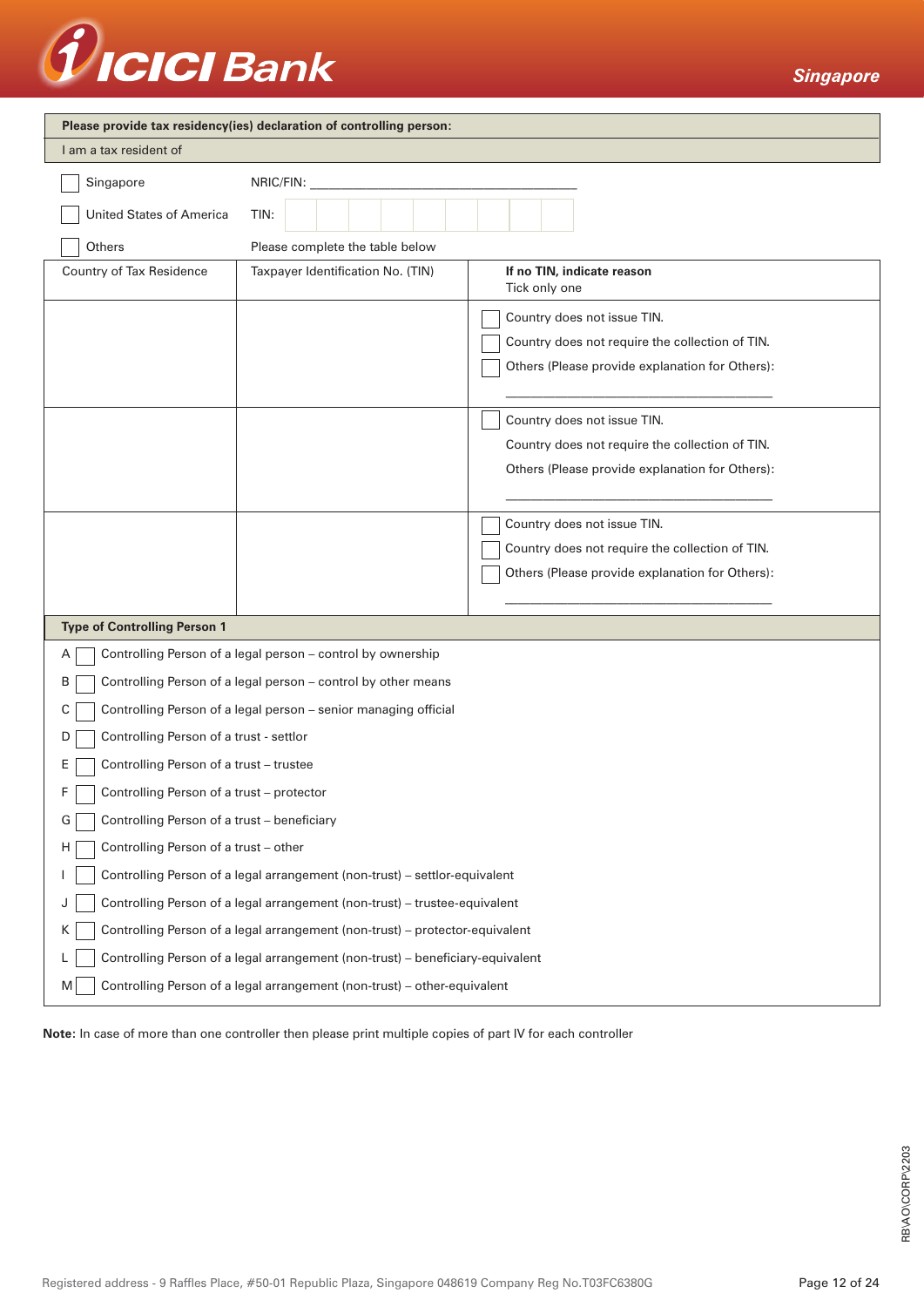# Treici Bank

*Singapore*

| Please provide tax residency(ies) declaration of controlling person:               |                                                                            |                                                                                                                                   |  |  |
|------------------------------------------------------------------------------------|----------------------------------------------------------------------------|-----------------------------------------------------------------------------------------------------------------------------------|--|--|
| I am a tax resident of                                                             |                                                                            |                                                                                                                                   |  |  |
| Singapore                                                                          | NRIC/FIN:                                                                  |                                                                                                                                   |  |  |
| <b>United States of America</b><br>TIN:                                            |                                                                            |                                                                                                                                   |  |  |
| Others                                                                             | Please complete the table below                                            |                                                                                                                                   |  |  |
| Country of Tax Residence                                                           | Taxpayer Identification No. (TIN)                                          | If no TIN, indicate reason<br>Tick only one                                                                                       |  |  |
|                                                                                    |                                                                            | Country does not issue TIN.<br>Country does not require the collection of TIN.<br>Others (Please provide explanation for Others): |  |  |
|                                                                                    |                                                                            | Country does not issue TIN.<br>Country does not require the collection of TIN.<br>Others (Please provide explanation for Others): |  |  |
|                                                                                    |                                                                            | Country does not issue TIN.<br>Country does not require the collection of TIN.<br>Others (Please provide explanation for Others): |  |  |
| <b>Type of Controlling Person 1</b>                                                |                                                                            |                                                                                                                                   |  |  |
| Α                                                                                  | Controlling Person of a legal person - control by ownership                |                                                                                                                                   |  |  |
| B                                                                                  | Controlling Person of a legal person - control by other means              |                                                                                                                                   |  |  |
| С                                                                                  | Controlling Person of a legal person - senior managing official            |                                                                                                                                   |  |  |
| Controlling Person of a trust - settlor<br>D                                       |                                                                            |                                                                                                                                   |  |  |
| Controlling Person of a trust - trustee<br>E                                       |                                                                            |                                                                                                                                   |  |  |
| Controlling Person of a trust - protector<br>F.                                    |                                                                            |                                                                                                                                   |  |  |
| Controlling Person of a trust - beneficiary<br>G                                   |                                                                            |                                                                                                                                   |  |  |
| Controlling Person of a trust - other<br>H                                         |                                                                            |                                                                                                                                   |  |  |
| Controlling Person of a legal arrangement (non-trust) - settlor-equivalent         |                                                                            |                                                                                                                                   |  |  |
| J                                                                                  | Controlling Person of a legal arrangement (non-trust) - trustee-equivalent |                                                                                                                                   |  |  |
| Controlling Person of a legal arrangement (non-trust) - protector-equivalent<br>K. |                                                                            |                                                                                                                                   |  |  |
| Controlling Person of a legal arrangement (non-trust) - beneficiary-equivalent     |                                                                            |                                                                                                                                   |  |  |
| Controlling Person of a legal arrangement (non-trust) - other-equivalent<br>M      |                                                                            |                                                                                                                                   |  |  |

**Note:** In case of more than one controller then please print multiple copies of part IV for each controller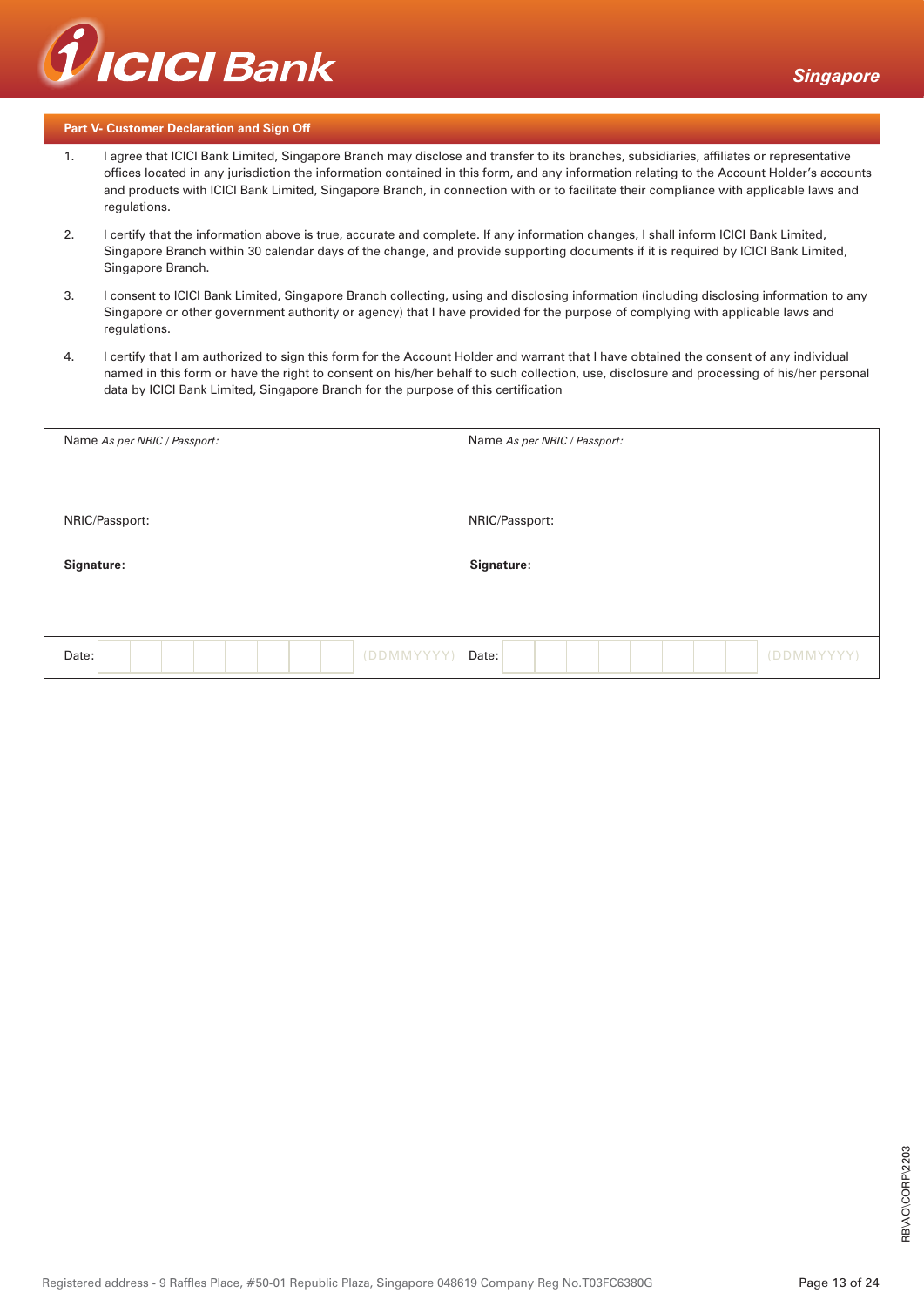

#### **Part V- Customer Declaration and Sign Off**

- 1. I agree that ICICI Bank Limited, Singapore Branch may disclose and transfer to its branches, subsidiaries, affiliates or representative offices located in any jurisdiction the information contained in this form, and any information relating to the Account Holder's accounts and products with ICICI Bank Limited, Singapore Branch, in connection with or to facilitate their compliance with applicable laws and regulations.
- 2. I certify that the information above is true, accurate and complete. If any information changes, I shall inform ICICI Bank Limited, Singapore Branch within 30 calendar days of the change, and provide supporting documents if it is required by ICICI Bank Limited, Singapore Branch.
- 3. I consent to ICICI Bank Limited, Singapore Branch collecting, using and disclosing information (including disclosing information to any Singapore or other government authority or agency) that I have provided for the purpose of complying with applicable laws and regulations.
- 4. I certify that I am authorized to sign this form for the Account Holder and warrant that I have obtained the consent of any individual named in this form or have the right to consent on his/her behalf to such collection, use, disclosure and processing of his/her personal data by ICICI Bank Limited, Singapore Branch for the purpose of this certification

| Name As per NRIC / Passport: | Name As per NRIC / Passport: |
|------------------------------|------------------------------|
| NRIC/Passport:               | NRIC/Passport:               |
| Signature:                   | Signature:                   |
| (DDMMYYYY)<br>Date:          | (DDMMYYYY)<br>Date:          |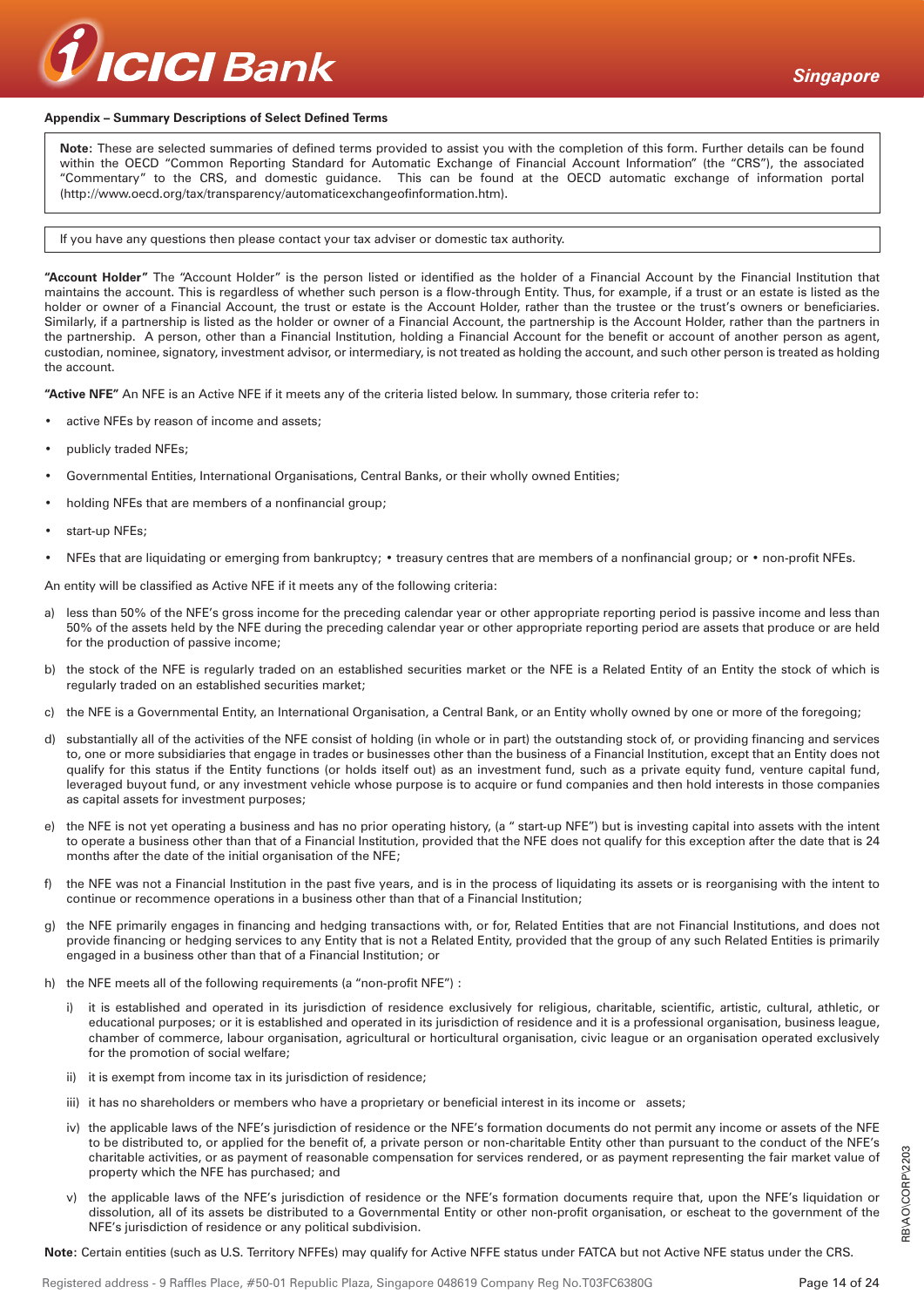

#### **Appendix – Summary Descriptions of Select Defined Terms**

**Note:** These are selected summaries of defined terms provided to assist you with the completion of this form. Further details can be found within the OECD "Common Reporting Standard for Automatic Exchange of Financial Account Information" (the "CRS"), the associated "Commentary" to the CRS, and domestic guidance. This can be found at the OECD automatic exchange of information portal (http://www.oecd.org/tax/transparency/automaticexchangeofinformation.htm).

#### If you have any questions then please contact your tax adviser or domestic tax authority.

**"Account Holder"** The "Account Holder" is the person listed or identified as the holder of a Financial Account by the Financial Institution that maintains the account. This is regardless of whether such person is a flow-through Entity. Thus, for example, if a trust or an estate is listed as the holder or owner of a Financial Account, the trust or estate is the Account Holder, rather than the trustee or the trust's owners or beneficiaries. Similarly, if a partnership is listed as the holder or owner of a Financial Account, the partnership is the Account Holder, rather than the partners in the partnership. A person, other than a Financial Institution, holding a Financial Account for the benefit or account of another person as agent, custodian, nominee, signatory, investment advisor, or intermediary, is not treated as holding the account, and such other person is treated as holding the account.

**"Active NFE"** An NFE is an Active NFE if it meets any of the criteria listed below. In summary, those criteria refer to:

- active NFEs by reason of income and assets;
- publicly traded NFEs;
- Governmental Entities, International Organisations, Central Banks, or their wholly owned Entities;
- holding NFEs that are members of a nonfinancial group;
- start-up NFEs;
- NFEs that are liquidating or emerging from bankruptcy; treasury centres that are members of a nonfinancial group; or non-profit NFEs.

An entity will be classified as Active NFE if it meets any of the following criteria:

- a) less than 50% of the NFE's gross income for the preceding calendar year or other appropriate reporting period is passive income and less than 50% of the assets held by the NFE during the preceding calendar year or other appropriate reporting period are assets that produce or are held for the production of passive income;
- b) the stock of the NFE is regularly traded on an established securities market or the NFE is a Related Entity of an Entity the stock of which is regularly traded on an established securities market;
- c) the NFE is a Governmental Entity, an International Organisation, a Central Bank, or an Entity wholly owned by one or more of the foregoing;
- d) substantially all of the activities of the NFE consist of holding (in whole or in part) the outstanding stock of, or providing financing and services to, one or more subsidiaries that engage in trades or businesses other than the business of a Financial Institution, except that an Entity does not qualify for this status if the Entity functions (or holds itself out) as an investment fund, such as a private equity fund, venture capital fund, leveraged buyout fund, or any investment vehicle whose purpose is to acquire or fund companies and then hold interests in those companies as capital assets for investment purposes;
- the NFE is not yet operating a business and has no prior operating history, (a " start-up NFE") but is investing capital into assets with the intent to operate a business other than that of a Financial Institution, provided that the NFE does not qualify for this exception after the date that is 24 months after the date of the initial organisation of the NFE;
- f) the NFE was not a Financial Institution in the past five years, and is in the process of liquidating its assets or is reorganising with the intent to continue or recommence operations in a business other than that of a Financial Institution;
- g) the NFE primarily engages in financing and hedging transactions with, or for, Related Entities that are not Financial Institutions, and does not provide financing or hedging services to any Entity that is not a Related Entity, provided that the group of any such Related Entities is primarily engaged in a business other than that of a Financial Institution; or
- h) the NFE meets all of the following requirements (a "non-profit NFE") :
	- i) it is established and operated in its jurisdiction of residence exclusively for religious, charitable, scientific, artistic, cultural, athletic, or educational purposes; or it is established and operated in its jurisdiction of residence and it is a professional organisation, business league, chamber of commerce, labour organisation, agricultural or horticultural organisation, civic league or an organisation operated exclusively for the promotion of social welfare;
	- ii) it is exempt from income tax in its jurisdiction of residence;
	- iii) it has no shareholders or members who have a proprietary or beneficial interest in its income or assets;
	- iv) the applicable laws of the NFE's jurisdiction of residence or the NFE's formation documents do not permit any income or assets of the NFE to be distributed to, or applied for the benefit of, a private person or non-charitable Entity other than pursuant to the conduct of the NFE's charitable activities, or as payment of reasonable compensation for services rendered, or as payment representing the fair market value of property which the NFE has purchased; and
	- v) the applicable laws of the NFE's jurisdiction of residence or the NFE's formation documents require that, upon the NFE's liquidation or dissolution, all of its assets be distributed to a Governmental Entity or other non-profit organisation, or escheat to the government of the NFE's jurisdiction of residence or any political subdivision.

**Note:** Certain entities (such as U.S. Territory NFFEs) may qualify for Active NFFE status under FATCA but not Active NFE status under the CRS.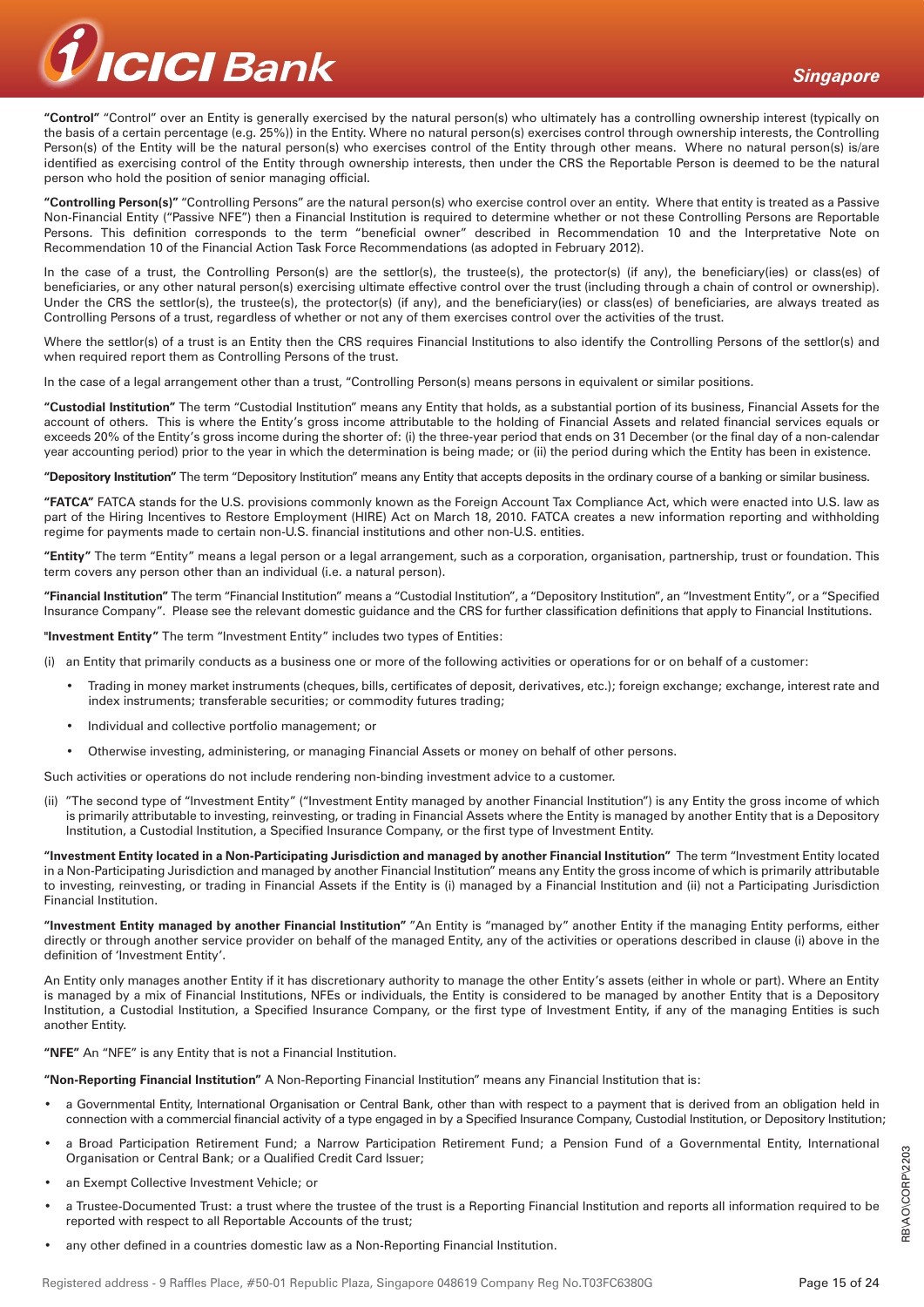

**"Control"** "Control" over an Entity is generally exercised by the natural person(s) who ultimately has a controlling ownership interest (typically on the basis of a certain percentage (e.g. 25%)) in the Entity. Where no natural person(s) exercises control through ownership interests, the Controlling Person(s) of the Entity will be the natural person(s) who exercises control of the Entity through other means. Where no natural person(s) is/are identified as exercising control of the Entity through ownership interests, then under the CRS the Reportable Person is deemed to be the natural person who hold the position of senior managing official.

**"Controlling Person(s)"** "Controlling Persons" are the natural person(s) who exercise control over an entity. Where that entity is treated as a Passive Non-Financial Entity ("Passive NFE") then a Financial Institution is required to determine whether or not these Controlling Persons are Reportable Persons. This definition corresponds to the term "beneficial owner" described in Recommendation 10 and the Interpretative Note on Recommendation 10 of the Financial Action Task Force Recommendations (as adopted in February 2012).

In the case of a trust, the Controlling Person(s) are the settlor(s), the trustee(s), the protector(s) (if any), the beneficiary(ies) or class(es) of beneficiaries, or any other natural person(s) exercising ultimate effective control over the trust (including through a chain of control or ownership). Under the CRS the settlor(s), the trustee(s), the protector(s) (if any), and the beneficiary(ies) or class(es) of beneficiaries, are always treated as Controlling Persons of a trust, regardless of whether or not any of them exercises control over the activities of the trust.

Where the settlor(s) of a trust is an Entity then the CRS requires Financial Institutions to also identify the Controlling Persons of the settlor(s) and when required report them as Controlling Persons of the trust.

In the case of a legal arrangement other than a trust, "Controlling Person(s) means persons in equivalent or similar positions.

**"Custodial Institution"** The term "Custodial Institution" means any Entity that holds, as a substantial portion of its business, Financial Assets for the account of others. This is where the Entity's gross income attributable to the holding of Financial Assets and related financial services equals or exceeds 20% of the Entity's gross income during the shorter of: (i) the three-year period that ends on 31 December (or the final day of a non-calendar year accounting period) prior to the year in which the determination is being made; or (ii) the period during which the Entity has been in existence.

**"Depository Institution"** The term "Depository Institution" means any Entity that accepts deposits in the ordinary course of a banking or similar business.

**"FATCA"** FATCA stands for the U.S. provisions commonly known as the Foreign Account Tax Compliance Act, which were enacted into U.S. law as part of the Hiring Incentives to Restore Employment (HIRE) Act on March 18, 2010. FATCA creates a new information reporting and withholding regime for payments made to certain non-U.S. financial institutions and other non-U.S. entities.

**"Entity"** The term "Entity" means a legal person or a legal arrangement, such as a corporation, organisation, partnership, trust or foundation. This term covers any person other than an individual (i.e. a natural person).

**"Financial Institution"** The term "Financial Institution" means a "Custodial Institution", a "Depository Institution", an "Investment Entity", or a "Specified Insurance Company". Please see the relevant domestic guidance and the CRS for further classification definitions that apply to Financial Institutions.

**"Investment Entity"** The term "Investment Entity" includes two types of Entities:

(i) an Entity that primarily conducts as a business one or more of the following activities or operations for or on behalf of a customer:

- Trading in money market instruments (cheques, bills, certificates of deposit, derivatives, etc.); foreign exchange; exchange, interest rate and index instruments; transferable securities; or commodity futures trading;
- Individual and collective portfolio management; or
- Otherwise investing, administering, or managing Financial Assets or money on behalf of other persons.

Such activities or operations do not include rendering non-binding investment advice to a customer.

(ii) "The second type of "Investment Entity" ("Investment Entity managed by another Financial Institution") is any Entity the gross income of which is primarily attributable to investing, reinvesting, or trading in Financial Assets where the Entity is managed by another Entity that is a Depository Institution, a Custodial Institution, a Specified Insurance Company, or the first type of Investment Entity.

**"Investment Entity located in a Non-Participating Jurisdiction and managed by another Financial Institution"** The term "Investment Entity located in a Non-Participating Jurisdiction and managed by another Financial Institution" means any Entity the gross income of which is primarily attributable to investing, reinvesting, or trading in Financial Assets if the Entity is (i) managed by a Financial Institution and (ii) not a Participating Jurisdiction Financial Institution.

**"Investment Entity managed by another Financial Institution"** "An Entity is "managed by" another Entity if the managing Entity performs, either directly or through another service provider on behalf of the managed Entity, any of the activities or operations described in clause (i) above in the definition of 'Investment Entity'.

An Entity only manages another Entity if it has discretionary authority to manage the other Entity's assets (either in whole or part). Where an Entity is managed by a mix of Financial Institutions, NFEs or individuals, the Entity is considered to be managed by another Entity that is a Depository Institution, a Custodial Institution, a Specified Insurance Company, or the first type of Investment Entity, if any of the managing Entities is such another Entity.

**"NFE"** An "NFE" is any Entity that is not a Financial Institution.

**"Non-Reporting Financial Institution"** A Non-Reporting Financial Institution" means any Financial Institution that is:

- a Governmental Entity, International Organisation or Central Bank, other than with respect to a payment that is derived from an obligation held in connection with a commercial financial activity of a type engaged in by a Specified Insurance Company, Custodial Institution, or Depository Institution;
- a Broad Participation Retirement Fund; a Narrow Participation Retirement Fund; a Pension Fund of a Governmental Entity, International Organisation or Central Bank; or a Qualified Credit Card Issuer;
- an Exempt Collective Investment Vehicle; or
- a Trustee-Documented Trust: a trust where the trustee of the trust is a Reporting Financial Institution and reports all information required to be reported with respect to all Reportable Accounts of the trust;
- any other defined in a countries domestic law as a Non-Reporting Financial Institution.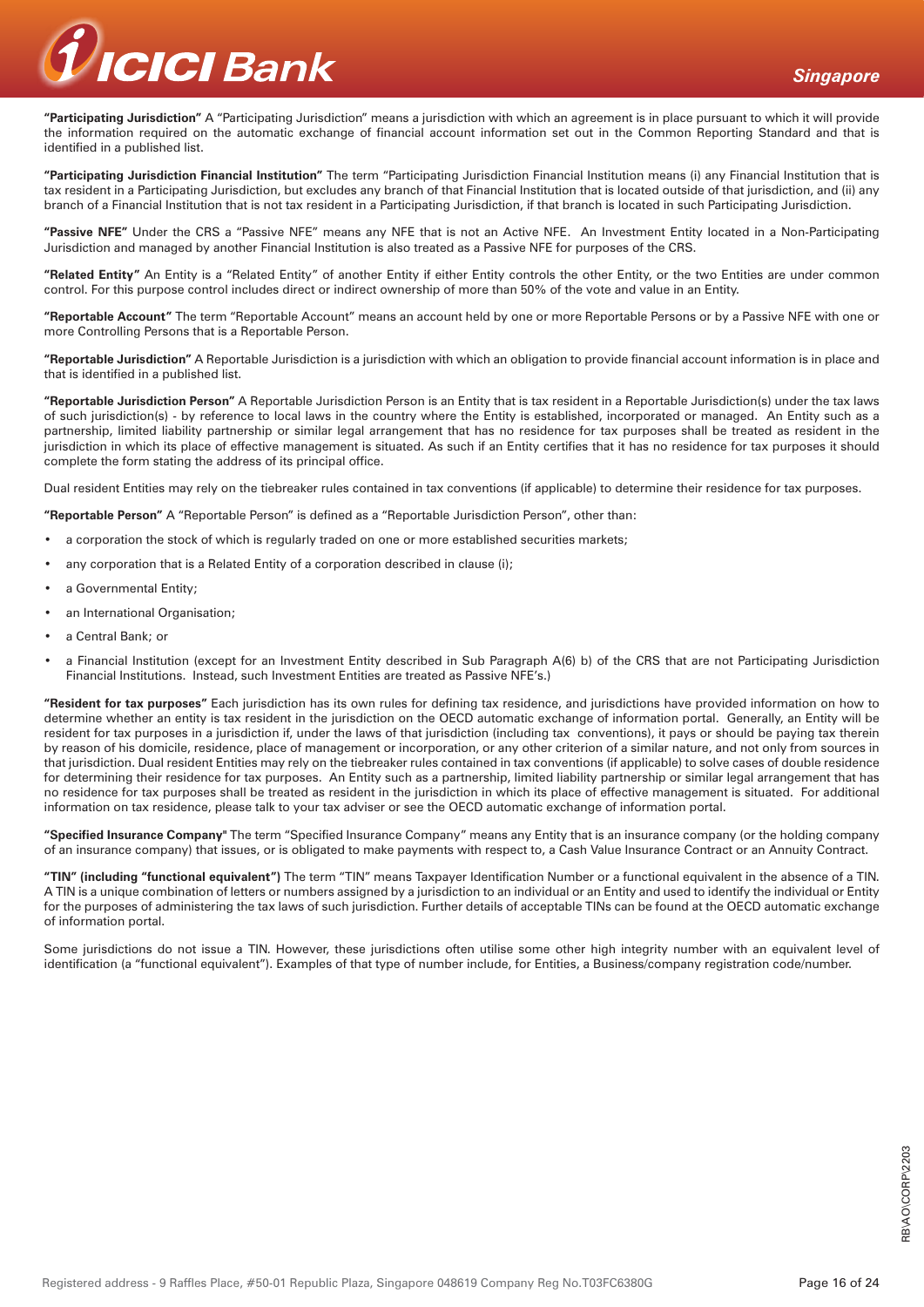

**"Participating Jurisdiction"** A "Participating Jurisdiction" means a jurisdiction with which an agreement is in place pursuant to which it will provide the information required on the automatic exchange of financial account information set out in the Common Reporting Standard and that is identified in a published list.

**"Participating Jurisdiction Financial Institution"** The term "Participating Jurisdiction Financial Institution means (i) any Financial Institution that is tax resident in a Participating Jurisdiction, but excludes any branch of that Financial Institution that is located outside of that jurisdiction, and (ii) any branch of a Financial Institution that is not tax resident in a Participating Jurisdiction, if that branch is located in such Participating Jurisdiction.

**"Passive NFE"** Under the CRS a "Passive NFE" means any NFE that is not an Active NFE. An Investment Entity located in a Non-Participating Jurisdiction and managed by another Financial Institution is also treated as a Passive NFE for purposes of the CRS.

**"Related Entity"** An Entity is a "Related Entity" of another Entity if either Entity controls the other Entity, or the two Entities are under common control. For this purpose control includes direct or indirect ownership of more than 50% of the vote and value in an Entity.

**"Reportable Account"** The term "Reportable Account" means an account held by one or more Reportable Persons or by a Passive NFE with one or more Controlling Persons that is a Reportable Person.

**"Reportable Jurisdiction"** A Reportable Jurisdiction is a jurisdiction with which an obligation to provide financial account information is in place and that is identified in a published list.

**"Reportable Jurisdiction Person"** A Reportable Jurisdiction Person is an Entity that is tax resident in a Reportable Jurisdiction(s) under the tax laws of such jurisdiction(s) - by reference to local laws in the country where the Entity is established, incorporated or managed. An Entity such as a partnership, limited liability partnership or similar legal arrangement that has no residence for tax purposes shall be treated as resident in the jurisdiction in which its place of effective management is situated. As such if an Entity certifies that it has no residence for tax purposes it should complete the form stating the address of its principal office.

Dual resident Entities may rely on the tiebreaker rules contained in tax conventions (if applicable) to determine their residence for tax purposes.

**"Reportable Person"** A "Reportable Person" is defined as a "Reportable Jurisdiction Person", other than:

- a corporation the stock of which is regularly traded on one or more established securities markets;
- any corporation that is a Related Entity of a corporation described in clause (i);
- a Governmental Entity;
- an International Organisation;
- a Central Bank; or
- a Financial Institution (except for an Investment Entity described in Sub Paragraph A(6) b) of the CRS that are not Participating Jurisdiction Financial Institutions. Instead, such Investment Entities are treated as Passive NFE's.)

**"Resident for tax purposes"** Each jurisdiction has its own rules for defining tax residence, and jurisdictions have provided information on how to determine whether an entity is tax resident in the jurisdiction on the OECD automatic exchange of information portal. Generally, an Entity will be resident for tax purposes in a jurisdiction if, under the laws of that jurisdiction (including tax conventions), it pays or should be paying tax therein by reason of his domicile, residence, place of management or incorporation, or any other criterion of a similar nature, and not only from sources in that jurisdiction. Dual resident Entities may rely on the tiebreaker rules contained in tax conventions (if applicable) to solve cases of double residence for determining their residence for tax purposes. An Entity such as a partnership, limited liability partnership or similar legal arrangement that has no residence for tax purposes shall be treated as resident in the jurisdiction in which its place of effective management is situated. For additional information on tax residence, please talk to your tax adviser or see the OECD automatic exchange of information portal.

**"Specified Insurance Company"** The term "Specified Insurance Company" means any Entity that is an insurance company (or the holding company of an insurance company) that issues, or is obligated to make payments with respect to, a Cash Value Insurance Contract or an Annuity Contract.

**"TIN" (including "functional equivalent")** The term "TIN" means Taxpayer Identification Number or a functional equivalent in the absence of a TIN. A TIN is a unique combination of letters or numbers assigned by a jurisdiction to an individual or an Entity and used to identify the individual or Entity for the purposes of administering the tax laws of such jurisdiction. Further details of acceptable TINs can be found at the OECD automatic exchange of information portal.

Some jurisdictions do not issue a TIN. However, these jurisdictions often utilise some other high integrity number with an equivalent level of identification (a "functional equivalent"). Examples of that type of number include, for Entities, a Business/company registration code/number.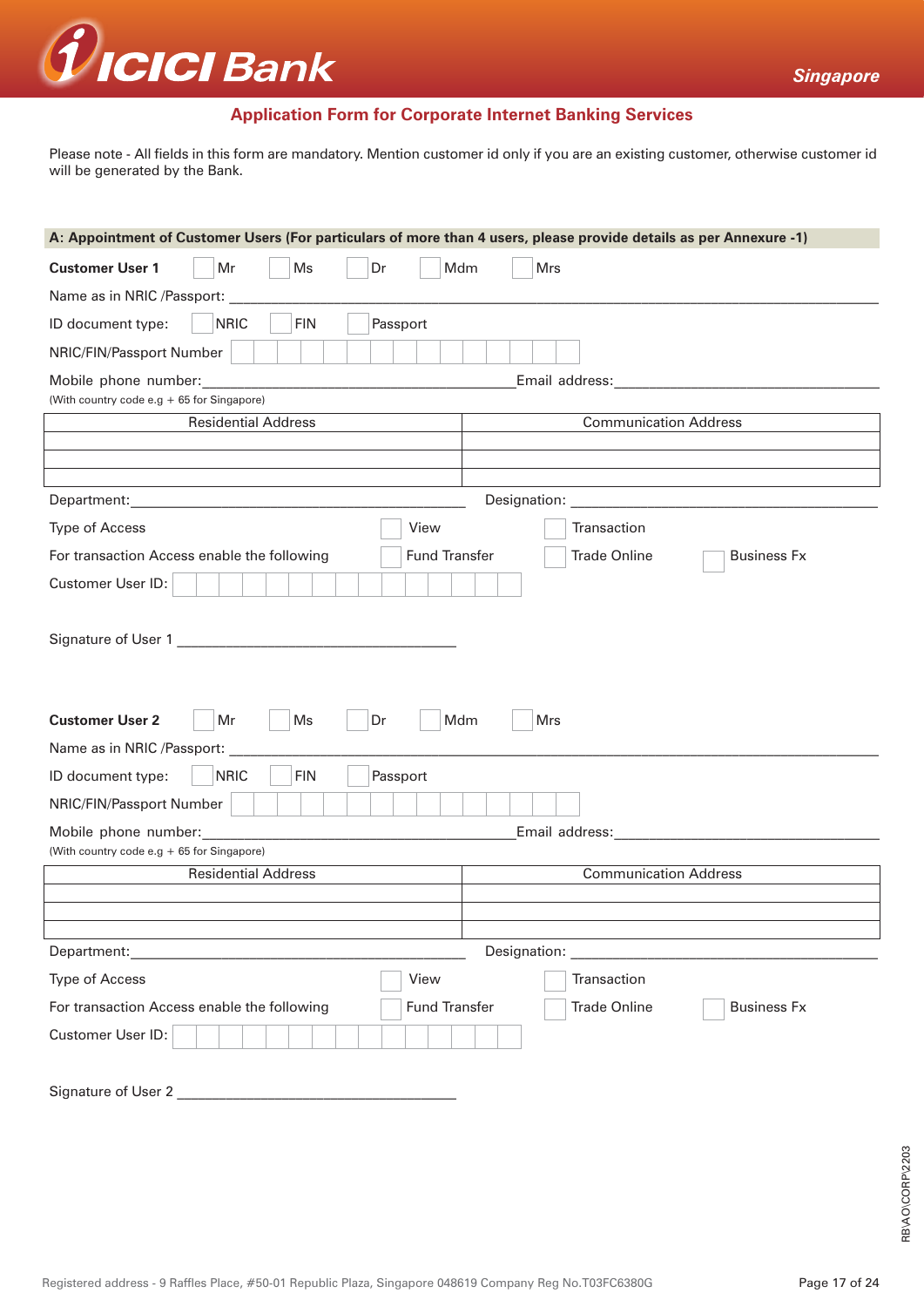

# **Application Form for Corporate Internet Banking Services**

Please note - All fields in this form are mandatory. Mention customer id only if you are an existing customer, otherwise customer id will be generated by the Bank.

| A: Appointment of Customer Users (For particulars of more than 4 users, please provide details as per Annexure -1)                    |  |  |  |  |  |
|---------------------------------------------------------------------------------------------------------------------------------------|--|--|--|--|--|
| <b>Customer User 1</b><br>Mr<br>Ms<br>Mdm<br>Mrs<br>Dr                                                                                |  |  |  |  |  |
| Name as in NRIC /Passport:                                                                                                            |  |  |  |  |  |
| <b>NRIC</b><br><b>FIN</b><br>ID document type:<br>Passport                                                                            |  |  |  |  |  |
| NRIC/FIN/Passport Number                                                                                                              |  |  |  |  |  |
| Email address: Management Control of Temail and Temail and Temail and Temail and Temail and Temail and Temail<br>Mobile phone number: |  |  |  |  |  |
| (With country code e.g + 65 for Singapore)<br><b>Communication Address</b>                                                            |  |  |  |  |  |
| <b>Residential Address</b>                                                                                                            |  |  |  |  |  |
|                                                                                                                                       |  |  |  |  |  |
|                                                                                                                                       |  |  |  |  |  |
| <b>Type of Access</b><br>View<br>Transaction                                                                                          |  |  |  |  |  |
| For transaction Access enable the following<br><b>Fund Transfer</b><br><b>Trade Online</b><br><b>Business Fx</b>                      |  |  |  |  |  |
| Customer User ID:                                                                                                                     |  |  |  |  |  |
|                                                                                                                                       |  |  |  |  |  |
|                                                                                                                                       |  |  |  |  |  |
|                                                                                                                                       |  |  |  |  |  |
|                                                                                                                                       |  |  |  |  |  |
| <b>Customer User 2</b><br>Dr<br>Mr<br>Ms<br>Mdm<br>Mrs                                                                                |  |  |  |  |  |
| Name as in NRIC /Passport:                                                                                                            |  |  |  |  |  |
| <b>FIN</b><br><b>NRIC</b><br>Passport<br>ID document type:                                                                            |  |  |  |  |  |
| NRIC/FIN/Passport Number                                                                                                              |  |  |  |  |  |
| Mobile phone number:                                                                                                                  |  |  |  |  |  |
| (With country code e.g + 65 for Singapore)<br><b>Communication Address</b><br><b>Residential Address</b>                              |  |  |  |  |  |
|                                                                                                                                       |  |  |  |  |  |
|                                                                                                                                       |  |  |  |  |  |
| Designation: <u>____________________________</u>                                                                                      |  |  |  |  |  |
| View<br><b>Type of Access</b><br>Transaction                                                                                          |  |  |  |  |  |
| <b>Fund Transfer</b><br><b>Trade Online</b><br>For transaction Access enable the following<br><b>Business Fx</b>                      |  |  |  |  |  |
| Customer User ID:                                                                                                                     |  |  |  |  |  |
|                                                                                                                                       |  |  |  |  |  |
|                                                                                                                                       |  |  |  |  |  |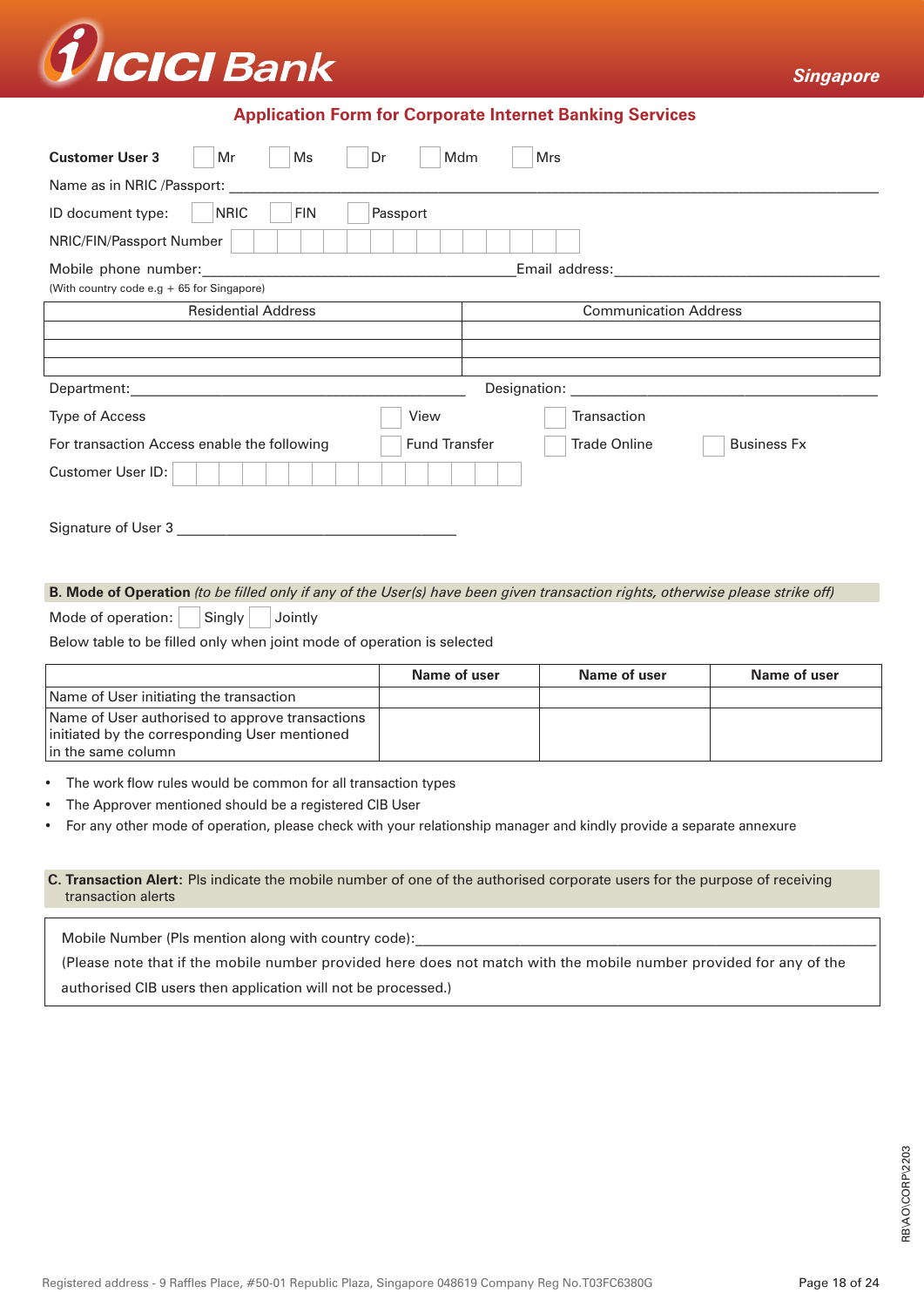

# **Application Form for Corporate Internet Banking Services**

| <b>Customer User 3</b><br>Mdm<br>Ms<br>Mrs<br>Mr<br>Dr              |                                                                                                                                                                                                                               |  |  |  |  |
|---------------------------------------------------------------------|-------------------------------------------------------------------------------------------------------------------------------------------------------------------------------------------------------------------------------|--|--|--|--|
| Name as in NRIC /Passport:                                          |                                                                                                                                                                                                                               |  |  |  |  |
| <b>NRIC</b><br>Passport<br>ID document type:<br><b>FIN</b>          |                                                                                                                                                                                                                               |  |  |  |  |
| NRIC/FIN/Passport Number                                            |                                                                                                                                                                                                                               |  |  |  |  |
| Mobile phone number:                                                | Email address: The control of the control of the control of the control of the control of the control of the control of the control of the control of the control of the control of the control of the control of the control |  |  |  |  |
| (With country code e.g + 65 for Singapore)                          |                                                                                                                                                                                                                               |  |  |  |  |
| <b>Residential Address</b>                                          | <b>Communication Address</b>                                                                                                                                                                                                  |  |  |  |  |
|                                                                     |                                                                                                                                                                                                                               |  |  |  |  |
|                                                                     |                                                                                                                                                                                                                               |  |  |  |  |
| Designation:<br>Department:                                         |                                                                                                                                                                                                                               |  |  |  |  |
| <b>Type of Access</b><br>View                                       | Transaction                                                                                                                                                                                                                   |  |  |  |  |
| <b>Fund Transfer</b><br>For transaction Access enable the following | <b>Trade Online</b><br><b>Business Fx</b>                                                                                                                                                                                     |  |  |  |  |
| Customer User ID:                                                   |                                                                                                                                                                                                                               |  |  |  |  |
| Signature of User 3                                                 |                                                                                                                                                                                                                               |  |  |  |  |

### **B. Mode of Operation** *(to be filled only if any of the User(s) have been given transaction rights, otherwise please strike off)*

Mode of operation:  $\vert$  Singly  $\vert$  Jointly

Below table to be filled only when joint mode of operation is selected

|                                                                                                                        | Name of user | Name of user | Name of user |
|------------------------------------------------------------------------------------------------------------------------|--------------|--------------|--------------|
| Name of User initiating the transaction                                                                                |              |              |              |
| Name of User authorised to approve transactions<br>initiated by the corresponding User mentioned<br>in the same column |              |              |              |

- The work flow rules would be common for all transaction types
- The Approver mentioned should be a registered CIB User
- For any other mode of operation, please check with your relationship manager and kindly provide a separate annexure

#### **C. Transaction Alert:** Pls indicate the mobile number of one of the authorised corporate users for the purpose of receiving transaction alerts

Mobile Number (Pls mention along with country code):

(Please note that if the mobile number provided here does not match with the mobile number provided for any of the authorised CIB users then application will not be processed.)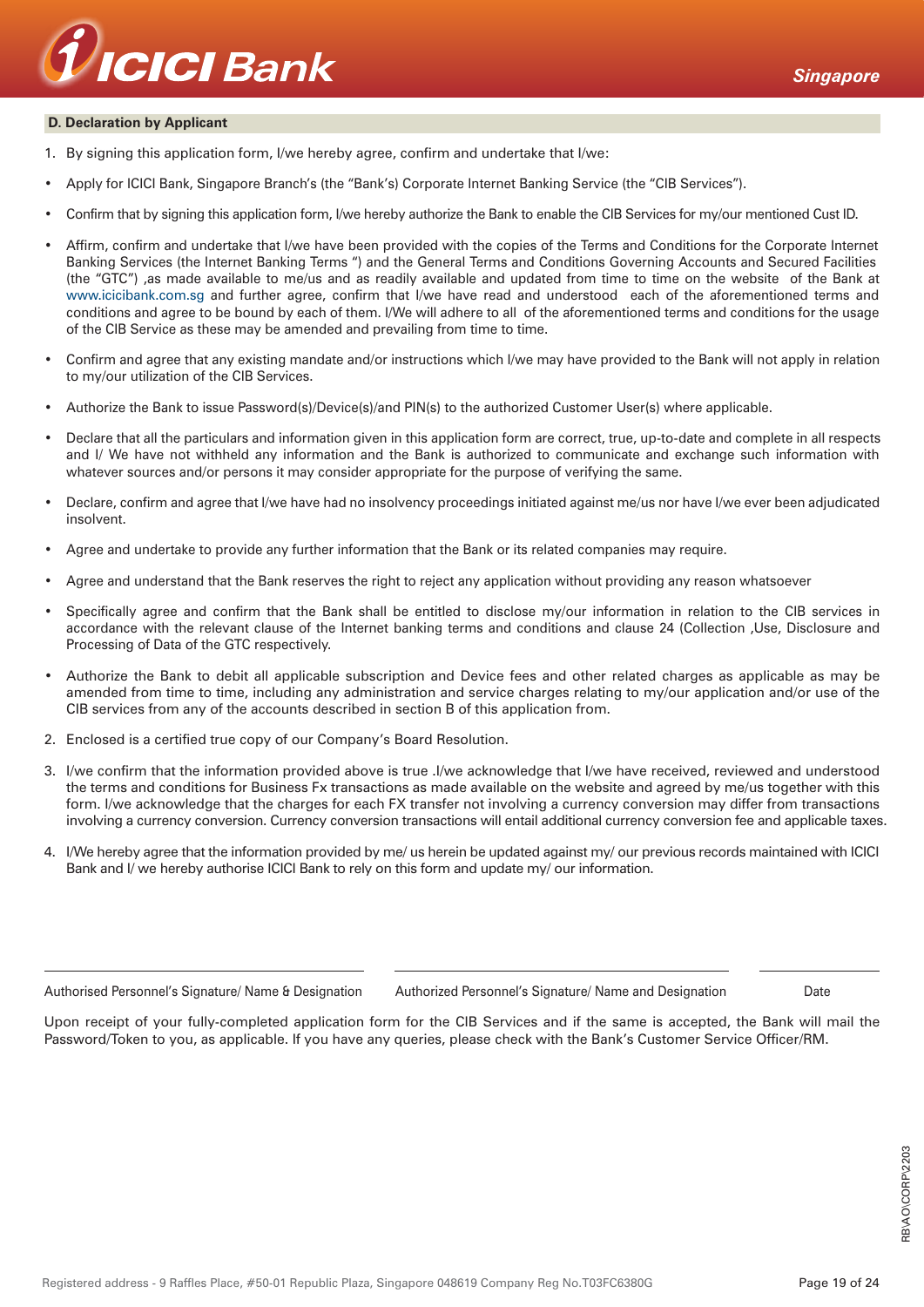

#### **D. Declaration by Applicant**

- 1. By signing this application form, I/we hereby agree, confirm and undertake that I/we:
- Apply for ICICI Bank, Singapore Branch's (the "Bank's) Corporate Internet Banking Service (the "CIB Services").
- Confirm that by signing this application form, I/we hereby authorize the Bank to enable the CIB Services for my/our mentioned Cust ID.
- Affirm, confirm and undertake that I/we have been provided with the copies of the Terms and Conditions for the Corporate Internet Banking Services (the Internet Banking Terms ") and the General Terms and Conditions Governing Accounts and Secured Facilities (the "GTC") ,as made available to me/us and as readily available and updated from time to time on the website of the Bank at www.icicibank.com.sg and further agree, confirm that I/we have read and understood each of the aforementioned terms and conditions and agree to be bound by each of them. I/We will adhere to all of the aforementioned terms and conditions for the usage of the CIB Service as these may be amended and prevailing from time to time.
- Confirm and agree that any existing mandate and/or instructions which I/we may have provided to the Bank will not apply in relation to my/our utilization of the CIB Services.
- Authorize the Bank to issue Password(s)/Device(s)/and PIN(s) to the authorized Customer User(s) where applicable.
- Declare that all the particulars and information given in this application form are correct, true, up-to-date and complete in all respects and I/ We have not withheld any information and the Bank is authorized to communicate and exchange such information with whatever sources and/or persons it may consider appropriate for the purpose of verifying the same.
- Declare, confirm and agree that I/we have had no insolvency proceedings initiated against me/us nor have I/we ever been adjudicated insolvent.
- Agree and undertake to provide any further information that the Bank or its related companies may require.
- Agree and understand that the Bank reserves the right to reject any application without providing any reason whatsoever
- Specifically agree and confirm that the Bank shall be entitled to disclose my/our information in relation to the CIB services in accordance with the relevant clause of the Internet banking terms and conditions and clause 24 (Collection ,Use, Disclosure and Processing of Data of the GTC respectively.
- Authorize the Bank to debit all applicable subscription and Device fees and other related charges as applicable as may be amended from time to time, including any administration and service charges relating to my/our application and/or use of the CIB services from any of the accounts described in section B of this application from.
- 2. Enclosed is a certified true copy of our Company's Board Resolution.
- 3. I/we confirm that the information provided above is true .I/we acknowledge that I/we have received, reviewed and understood the terms and conditions for Business Fx transactions as made available on the website and agreed by me/us together with this form. I/we acknowledge that the charges for each FX transfer not involving a currency conversion may differ from transactions involving a currency conversion. Currency conversion transactions will entail additional currency conversion fee and applicable taxes.
- 4. I/We hereby agree that the information provided by me/ us herein be updated against my/ our previous records maintained with ICICI Bank and I/ we hereby authorise ICICI Bank to rely on this form and update my/ our information.

Authorised Personnel's Signature/ Name & Designation Authorized Personnel's Signature/ Name and Designation Date

Upon receipt of your fully-completed application form for the CIB Services and if the same is accepted, the Bank will mail the Password/Token to you, as applicable. If you have any queries, please check with the Bank's Customer Service Officer/RM.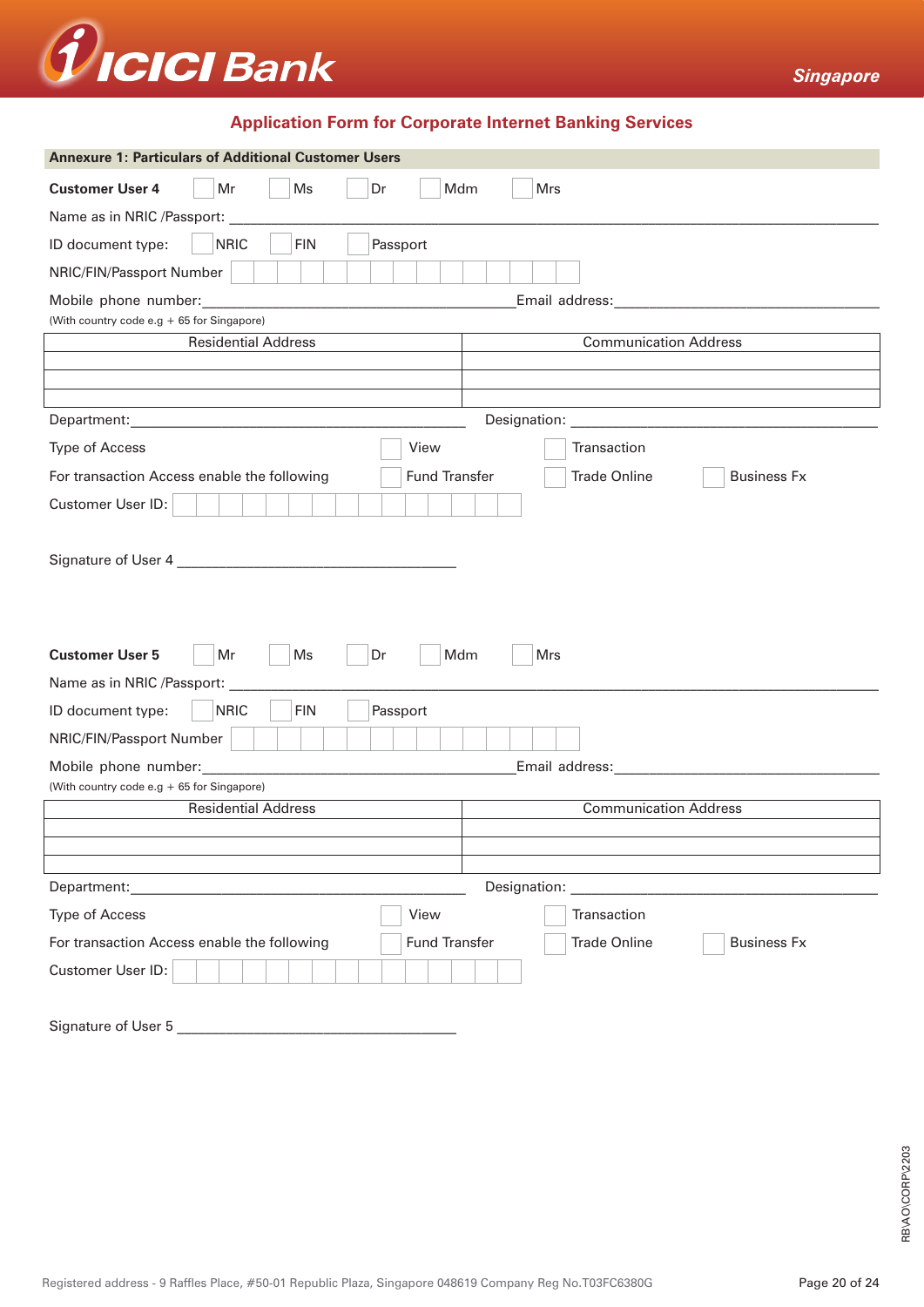

# **Application Form for Corporate Internet Banking Services**

| <b>Annexure 1: Particulars of Additional Customer Users</b>                                                                                                                                                                                           |  |  |  |  |  |
|-------------------------------------------------------------------------------------------------------------------------------------------------------------------------------------------------------------------------------------------------------|--|--|--|--|--|
| Ms<br><b>Customer User 4</b><br>Mr<br>Dr<br>Mdm<br>Mrs                                                                                                                                                                                                |  |  |  |  |  |
| Name as in NRIC /Passport:                                                                                                                                                                                                                            |  |  |  |  |  |
| <b>NRIC</b><br>ID document type:<br><b>FIN</b><br>Passport                                                                                                                                                                                            |  |  |  |  |  |
| NRIC/FIN/Passport Number                                                                                                                                                                                                                              |  |  |  |  |  |
| Mobile phone number:                                                                                                                                                                                                                                  |  |  |  |  |  |
| (With country code e.g + 65 for Singapore)                                                                                                                                                                                                            |  |  |  |  |  |
| <b>Residential Address</b><br><b>Communication Address</b>                                                                                                                                                                                            |  |  |  |  |  |
|                                                                                                                                                                                                                                                       |  |  |  |  |  |
|                                                                                                                                                                                                                                                       |  |  |  |  |  |
| Department:<br><u> 1989 - Johann Harry Harry Harry Harry Harry Harry Harry Harry Harry Harry Harry Harry Harry Harry Harry Harry</u>                                                                                                                  |  |  |  |  |  |
| <b>Type of Access</b><br>View<br>Transaction                                                                                                                                                                                                          |  |  |  |  |  |
| For transaction Access enable the following<br><b>Fund Transfer</b><br><b>Trade Online</b><br><b>Business Fx</b>                                                                                                                                      |  |  |  |  |  |
| Customer User ID:                                                                                                                                                                                                                                     |  |  |  |  |  |
|                                                                                                                                                                                                                                                       |  |  |  |  |  |
| <b>Customer User 5</b><br>Ms<br>Mdm<br>Mrs<br>Mr<br>Dr                                                                                                                                                                                                |  |  |  |  |  |
| Name as in NRIC /Passport:                                                                                                                                                                                                                            |  |  |  |  |  |
| <b>NRIC</b><br><b>FIN</b><br>ID document type:<br>Passport                                                                                                                                                                                            |  |  |  |  |  |
| NRIC/FIN/Passport Number                                                                                                                                                                                                                              |  |  |  |  |  |
| Email address: the control of the control of the control of the control of the control of the control of the control of the control of the control of the control of the control of the control of the control of the control<br>Mobile phone number: |  |  |  |  |  |
| (With country code e.g + 65 for Singapore)                                                                                                                                                                                                            |  |  |  |  |  |
| <b>Residential Address</b><br><b>Communication Address</b>                                                                                                                                                                                            |  |  |  |  |  |
|                                                                                                                                                                                                                                                       |  |  |  |  |  |
|                                                                                                                                                                                                                                                       |  |  |  |  |  |
| Designation:<br>Department:                                                                                                                                                                                                                           |  |  |  |  |  |
| Transaction<br><b>Type of Access</b><br>View                                                                                                                                                                                                          |  |  |  |  |  |
| <b>Fund Transfer</b><br>For transaction Access enable the following<br><b>Trade Online</b><br><b>Business Fx</b>                                                                                                                                      |  |  |  |  |  |
| Customer User ID:                                                                                                                                                                                                                                     |  |  |  |  |  |
| Signature of User 5                                                                                                                                                                                                                                   |  |  |  |  |  |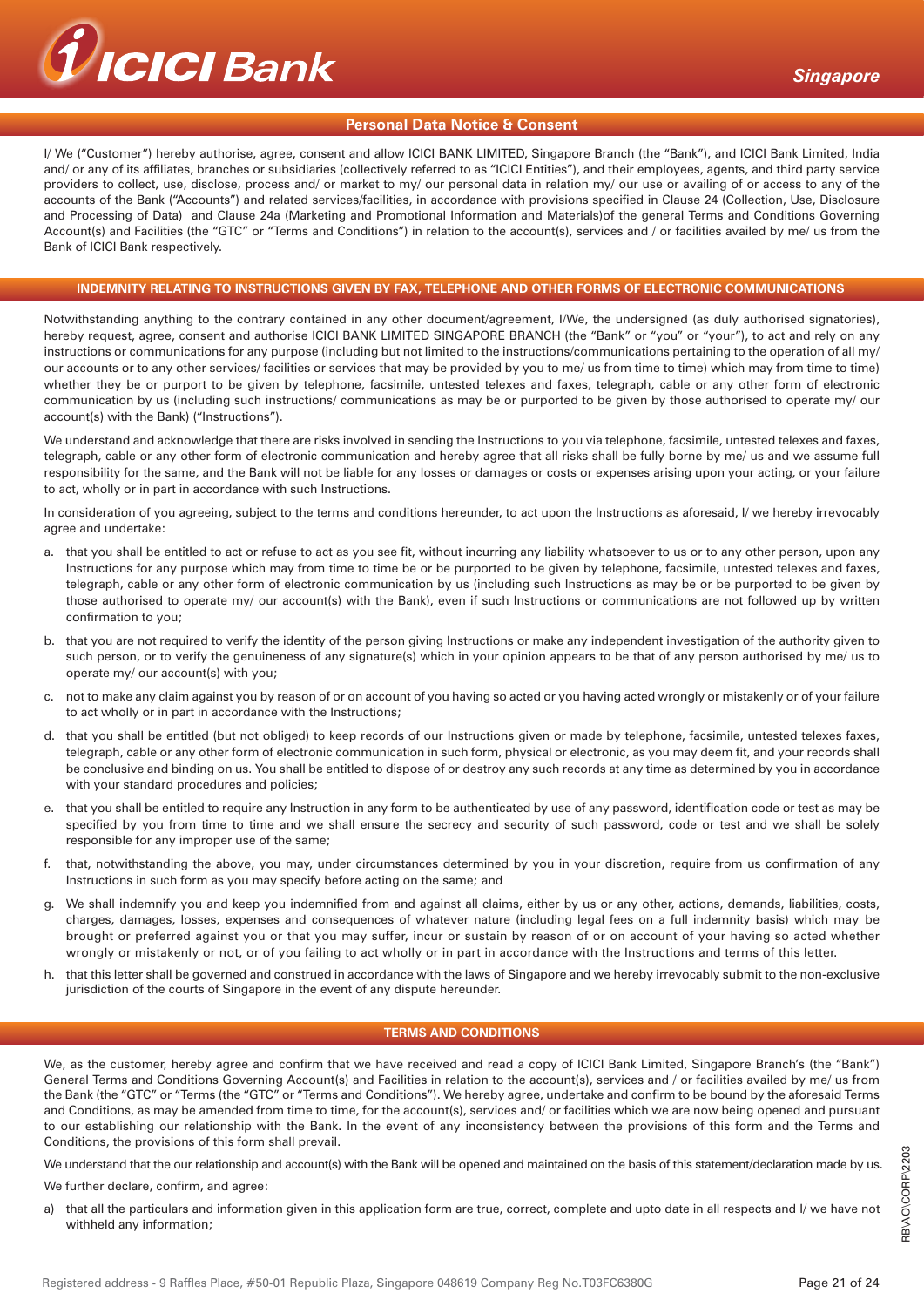

#### **Personal Data Notice & Consent**

I/ We ("Customer") hereby authorise, agree, consent and allow ICICI BANK LIMITED, Singapore Branch (the "Bank"), and ICICI Bank Limited, India and/ or any of its affiliates, branches or subsidiaries (collectively referred to as "ICICI Entities"), and their employees, agents, and third party service providers to collect, use, disclose, process and/ or market to my/ our personal data in relation my/ our use or availing of or access to any of the accounts of the Bank ("Accounts") and related services/facilities, in accordance with provisions specified in Clause 24 (Collection, Use, Disclosure and Processing of Data) and Clause 24a (Marketing and Promotional Information and Materials)of the general Terms and Conditions Governing Account(s) and Facilities (the "GTC" or "Terms and Conditions") in relation to the account(s), services and / or facilities availed by me/ us from the Bank of ICICI Bank respectively.

#### **INDEMNITY RELATING TO INSTRUCTIONS GIVEN BY FAX, TELEPHONE AND OTHER FORMS OF ELECTRONIC COMMUNICATIONS**

Notwithstanding anything to the contrary contained in any other document/agreement, I/We, the undersigned (as duly authorised signatories), hereby request, agree, consent and authorise ICICI BANK LIMITED SINGAPORE BRANCH (the "Bank" or "you" or "your"), to act and rely on any instructions or communications for any purpose (including but not limited to the instructions/communications pertaining to the operation of all my/ our accounts or to any other services/ facilities or services that may be provided by you to me/ us from time to time) which may from time to time) whether they be or purport to be given by telephone, facsimile, untested telexes and faxes, telegraph, cable or any other form of electronic communication by us (including such instructions/ communications as may be or purported to be given by those authorised to operate my/ our account(s) with the Bank) ("Instructions").

We understand and acknowledge that there are risks involved in sending the Instructions to you via telephone, facsimile, untested telexes and faxes, telegraph, cable or any other form of electronic communication and hereby agree that all risks shall be fully borne by me/ us and we assume full responsibility for the same, and the Bank will not be liable for any losses or damages or costs or expenses arising upon your acting, or your failure to act, wholly or in part in accordance with such Instructions.

In consideration of you agreeing, subject to the terms and conditions hereunder, to act upon the Instructions as aforesaid, I/ we hereby irrevocably agree and undertake:

- a. that you shall be entitled to act or refuse to act as you see fit, without incurring any liability whatsoever to us or to any other person, upon any Instructions for any purpose which may from time to time be or be purported to be given by telephone, facsimile, untested telexes and faxes, telegraph, cable or any other form of electronic communication by us (including such Instructions as may be or be purported to be given by those authorised to operate my/ our account(s) with the Bank), even if such Instructions or communications are not followed up by written confirmation to you;
- b. that you are not required to verify the identity of the person giving Instructions or make any independent investigation of the authority given to such person, or to verify the genuineness of any signature(s) which in your opinion appears to be that of any person authorised by me/ us to operate my/ our account(s) with you;
- c. not to make any claim against you by reason of or on account of you having so acted or you having acted wrongly or mistakenly or of your failure to act wholly or in part in accordance with the Instructions;
- d. that you shall be entitled (but not obliged) to keep records of our Instructions given or made by telephone, facsimile, untested telexes faxes, telegraph, cable or any other form of electronic communication in such form, physical or electronic, as you may deem fit, and your records shall be conclusive and binding on us. You shall be entitled to dispose of or destroy any such records at any time as determined by you in accordance with your standard procedures and policies;
- e. that you shall be entitled to require any Instruction in any form to be authenticated by use of any password, identification code or test as may be specified by you from time to time and we shall ensure the secrecy and security of such password, code or test and we shall be solely responsible for any improper use of the same;
- f. that, notwithstanding the above, you may, under circumstances determined by you in your discretion, require from us confirmation of any Instructions in such form as you may specify before acting on the same; and
- g. We shall indemnify you and keep you indemnified from and against all claims, either by us or any other, actions, demands, liabilities, costs, charges, damages, losses, expenses and consequences of whatever nature (including legal fees on a full indemnity basis) which may be brought or preferred against you or that you may suffer, incur or sustain by reason of or on account of your having so acted whether wrongly or mistakenly or not, or of you failing to act wholly or in part in accordance with the Instructions and terms of this letter.
- h. that this letter shall be governed and construed in accordance with the laws of Singapore and we hereby irrevocably submit to the non-exclusive jurisdiction of the courts of Singapore in the event of any dispute hereunder.

#### **TERMS AND CONDITIONS**

We, as the customer, hereby agree and confirm that we have received and read a copy of ICICI Bank Limited, Singapore Branch's (the "Bank") General Terms and Conditions Governing Account(s) and Facilities in relation to the account(s), services and / or facilities availed by me/ us from the Bank (the "GTC" or "Terms (the "GTC" or "Terms and Conditions"). We hereby agree, undertake and confirm to be bound by the aforesaid Terms and Conditions, as may be amended from time to time, for the account(s), services and/ or facilities which we are now being opened and pursuant to our establishing our relationship with the Bank. In the event of any inconsistency between the provisions of this form and the Terms and Conditions, the provisions of this form shall prevail.

We understand that the our relationship and account(s) with the Bank will be opened and maintained on the basis of this statement/declaration made by us.

We further declare, confirm, and agree:

a) that all the particulars and information given in this application form are true, correct, complete and upto date in all respects and I/ we have not withheld any information;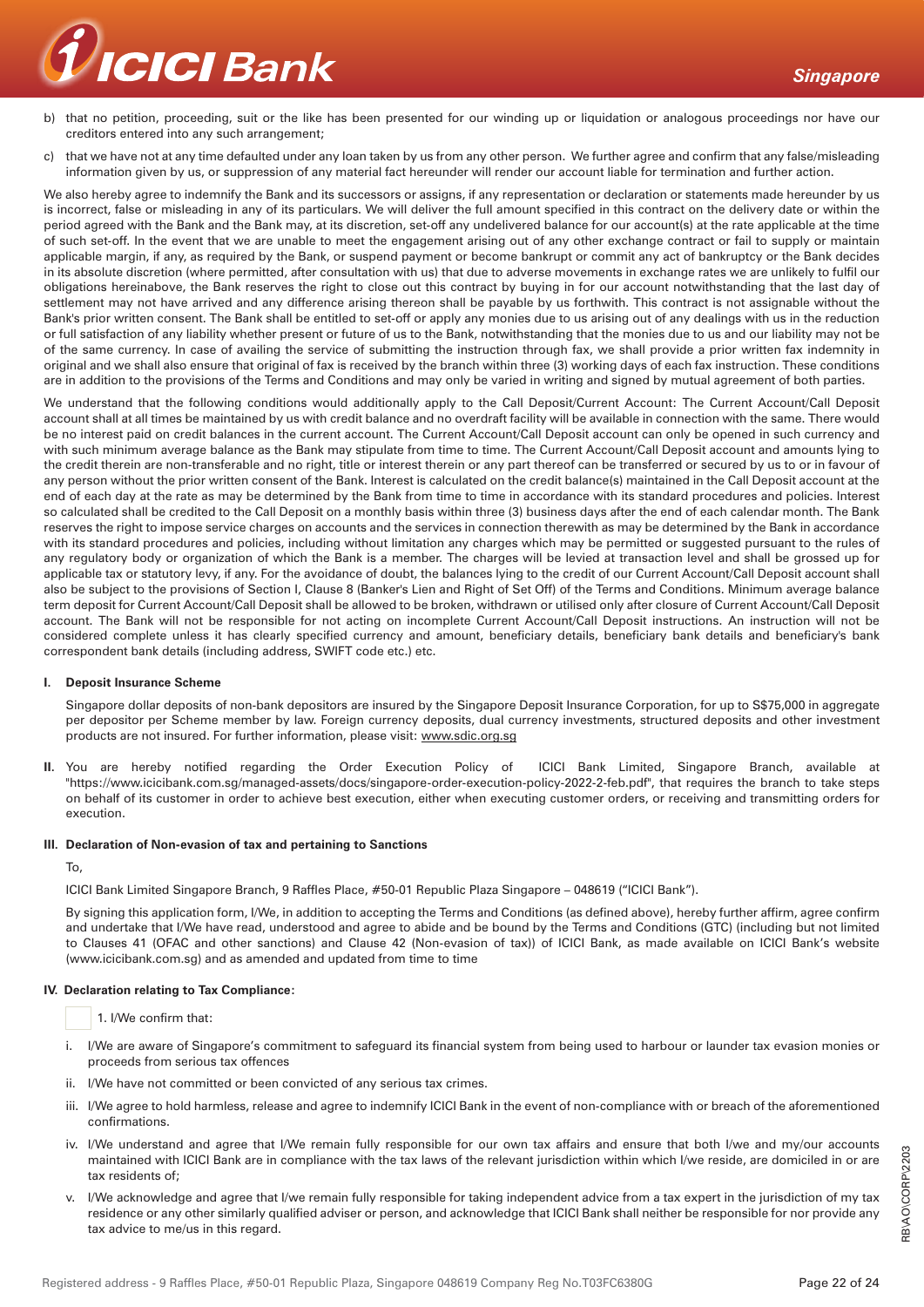

b) that no petition, proceeding, suit or the like has been presented for our winding up or liquidation or analogous proceedings nor have our creditors entered into any such arrangement;

c) that we have not at any time defaulted under any loan taken by us from any other person. We further agree and confirm that any false/misleading information given by us, or suppression of any material fact hereunder will render our account liable for termination and further action.

We also hereby agree to indemnify the Bank and its successors or assigns, if any representation or declaration or statements made hereunder by us is incorrect, false or misleading in any of its particulars. We will deliver the full amount specified in this contract on the delivery date or within the period agreed with the Bank and the Bank may, at its discretion, set-off any undelivered balance for our account(s) at the rate applicable at the time of such set-off. In the event that we are unable to meet the engagement arising out of any other exchange contract or fail to supply or maintain applicable margin, if any, as required by the Bank, or suspend payment or become bankrupt or commit any act of bankruptcy or the Bank decides in its absolute discretion (where permitted, after consultation with us) that due to adverse movements in exchange rates we are unlikely to fulfil our obligations hereinabove, the Bank reserves the right to close out this contract by buying in for our account notwithstanding that the last day of settlement may not have arrived and any difference arising thereon shall be payable by us forthwith. This contract is not assignable without the Bank's prior written consent. The Bank shall be entitled to set-off or apply any monies due to us arising out of any dealings with us in the reduction or full satisfaction of any liability whether present or future of us to the Bank, notwithstanding that the monies due to us and our liability may not be of the same currency. In case of availing the service of submitting the instruction through fax, we shall provide a prior written fax indemnity in original and we shall also ensure that original of fax is received by the branch within three (3) working days of each fax instruction. These conditions are in addition to the provisions of the Terms and Conditions and may only be varied in writing and signed by mutual agreement of both parties.

We understand that the following conditions would additionally apply to the Call Deposit/Current Account: The Current Account/Call Deposit account shall at all times be maintained by us with credit balance and no overdraft facility will be available in connection with the same. There would be no interest paid on credit balances in the current account. The Current Account/Call Deposit account can only be opened in such currency and with such minimum average balance as the Bank may stipulate from time to time. The Current Account/Call Deposit account and amounts lying to the credit therein are non-transferable and no right, title or interest therein or any part thereof can be transferred or secured by us to or in favour of any person without the prior written consent of the Bank. Interest is calculated on the credit balance(s) maintained in the Call Deposit account at the end of each day at the rate as may be determined by the Bank from time to time in accordance with its standard procedures and policies. Interest so calculated shall be credited to the Call Deposit on a monthly basis within three (3) business days after the end of each calendar month. The Bank reserves the right to impose service charges on accounts and the services in connection therewith as may be determined by the Bank in accordance with its standard procedures and policies, including without limitation any charges which may be permitted or suggested pursuant to the rules of any regulatory body or organization of which the Bank is a member. The charges will be levied at transaction level and shall be grossed up for applicable tax or statutory levy, if any. For the avoidance of doubt, the balances lying to the credit of our Current Account/Call Deposit account shall also be subject to the provisions of Section I, Clause 8 (Banker's Lien and Right of Set Off) of the Terms and Conditions. Minimum average balance term deposit for Current Account/Call Deposit shall be allowed to be broken, withdrawn or utilised only after closure of Current Account/Call Deposit account. The Bank will not be responsible for not acting on incomplete Current Account/Call Deposit instructions. An instruction will not be considered complete unless it has clearly specified currency and amount, beneficiary details, beneficiary bank details and beneficiary's bank correspondent bank details (including address, SWIFT code etc.) etc.

#### **I. Deposit Insurance Scheme**

 Singapore dollar deposits of non-bank depositors are insured by the Singapore Deposit Insurance Corporation, for up to S\$75,000 in aggregate per depositor per Scheme member by law. Foreign currency deposits, dual currency investments, structured deposits and other investment products are not insured. For further information, please visit: www.sdic.org.sg

**II.** You are hereby notified regarding the Order Execution Policy of ICICI Bank Limited, Singapore Branch, available at "https://www.icicibank.com.sg/managed-assets/docs/singapore-order-execution-policy-2022-2-feb.pdf", that requires the branch to take steps on behalf of its customer in order to achieve best execution, either when executing customer orders, or receiving and transmitting orders for execution.

#### **III. Declaration of Non-evasion of tax and pertaining to Sanctions**

To,

ICICI Bank Limited Singapore Branch, 9 Raffles Place, #50-01 Republic Plaza Singapore – 048619 ("ICICI Bank").

 By signing this application form, I/We, in addition to accepting the Terms and Conditions (as defined above), hereby further affirm, agree confirm and undertake that I/We have read, understood and agree to abide and be bound by the Terms and Conditions (GTC) (including but not limited to Clauses 41 (OFAC and other sanctions) and Clause 42 (Non-evasion of tax)) of ICICI Bank, as made available on ICICI Bank's website (www.icicibank.com.sg) and as amended and updated from time to time

# **IV. Declaration relating to Tax Compliance:**

1. I/We confirm that:

- i. I/We are aware of Singapore's commitment to safeguard its financial system from being used to harbour or launder tax evasion monies or proceeds from serious tax offences
- ii. I/We have not committed or been convicted of any serious tax crimes.
- iii. I/We agree to hold harmless, release and agree to indemnify ICICI Bank in the event of non-compliance with or breach of the aforementioned confirmations.
- iv. I/We understand and agree that I/We remain fully responsible for our own tax affairs and ensure that both I/we and my/our accounts maintained with ICICI Bank are in compliance with the tax laws of the relevant jurisdiction within which I/we reside, are domiciled in or are tax residents of;
- I/We acknowledge and agree that I/we remain fully responsible for taking independent advice from a tax expert in the jurisdiction of my tax residence or any other similarly qualified adviser or person, and acknowledge that ICICI Bank shall neither be responsible for nor provide any tax advice to me/us in this regard.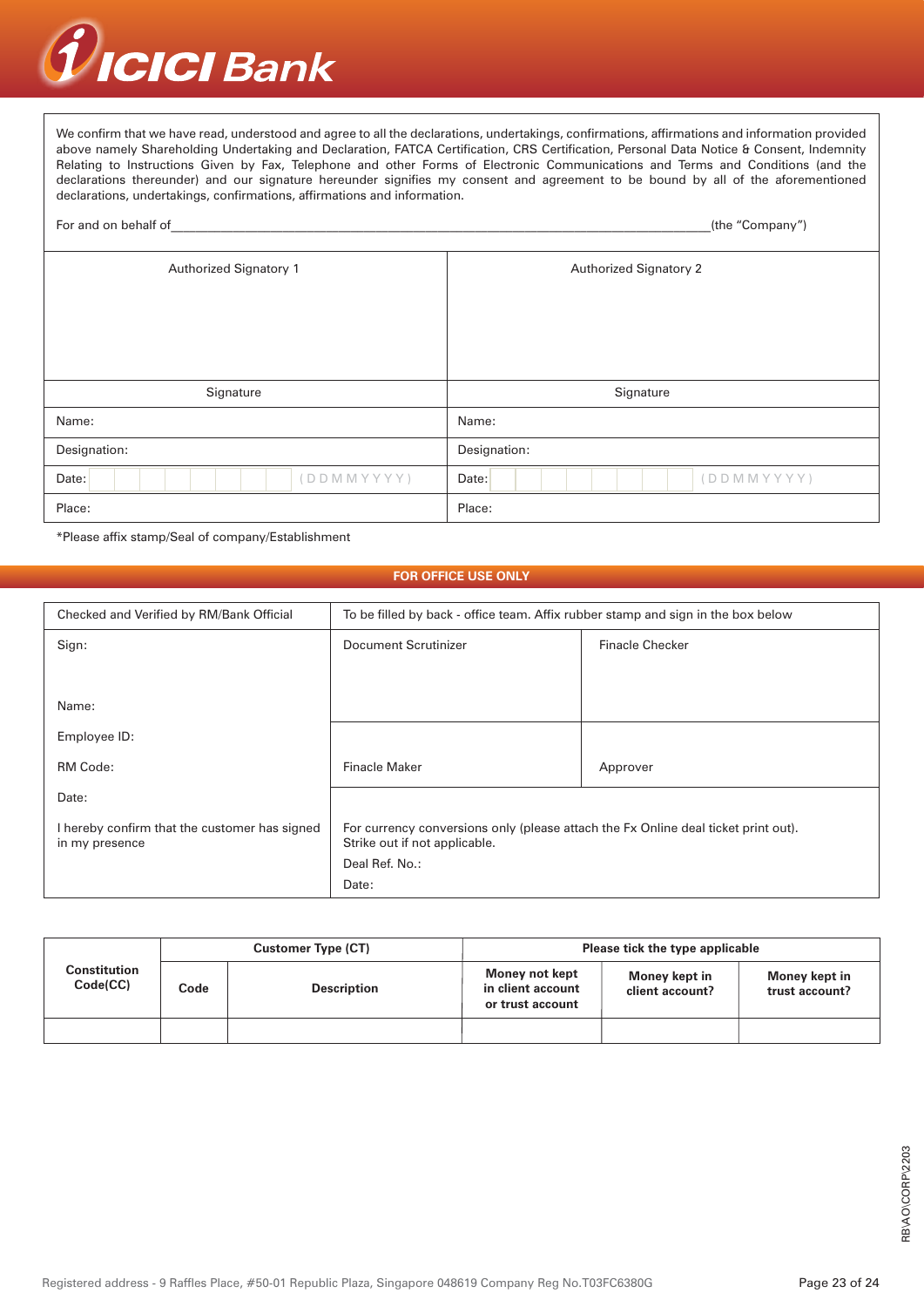

We confirm that we have read, understood and agree to all the declarations, undertakings, confirmations, affirmations and information provided above namely Shareholding Undertaking and Declaration, FATCA Certification, CRS Certification, Personal Data Notice & Consent, Indemnity Relating to Instructions Given by Fax, Telephone and other Forms of Electronic Communications and Terms and Conditions (and the declarations thereunder) and our signature hereunder signifies my consent and agreement to be bound by all of the aforementioned declarations, undertakings, confirmations, affirmations and information.

| For and on behalf of          | (the "Company")               |  |  |
|-------------------------------|-------------------------------|--|--|
| <b>Authorized Signatory 1</b> | <b>Authorized Signatory 2</b> |  |  |
|                               |                               |  |  |
|                               |                               |  |  |
|                               |                               |  |  |
| Signature                     | Signature                     |  |  |
| Name:                         | Name:                         |  |  |
| Designation:                  | Designation:                  |  |  |
| (DDMMYYYY)<br>Date:           | (DDMMYYYY)<br>Date:           |  |  |
| Place:                        | Place:                        |  |  |

\*Please affix stamp/Seal of company/Establishment

#### **FOR OFFICE USE ONLY**

| Checked and Verified by RM/Bank Official                        | To be filled by back - office team. Affix rubber stamp and sign in the box below                                    |                        |  |
|-----------------------------------------------------------------|---------------------------------------------------------------------------------------------------------------------|------------------------|--|
| Sign:                                                           | Document Scrutinizer                                                                                                | <b>Finacle Checker</b> |  |
|                                                                 |                                                                                                                     |                        |  |
| Name:                                                           |                                                                                                                     |                        |  |
| Employee ID:                                                    |                                                                                                                     |                        |  |
| RM Code:                                                        | <b>Finacle Maker</b>                                                                                                | Approver               |  |
| Date:                                                           |                                                                                                                     |                        |  |
| I hereby confirm that the customer has signed<br>in my presence | For currency conversions only (please attach the Fx Online deal ticket print out).<br>Strike out if not applicable. |                        |  |
|                                                                 | Deal Ref. No.:                                                                                                      |                        |  |
|                                                                 | Date:                                                                                                               |                        |  |

|                          | <b>Customer Type (CT)</b> |                    | Please tick the type applicable                         |                                  |                                 |
|--------------------------|---------------------------|--------------------|---------------------------------------------------------|----------------------------------|---------------------------------|
| Constitution<br>Code(CC) | Code                      | <b>Description</b> | Money not kept<br>in client account<br>or trust account | Money kept in<br>client account? | Money kept in<br>trust account? |
|                          |                           |                    |                                                         |                                  |                                 |